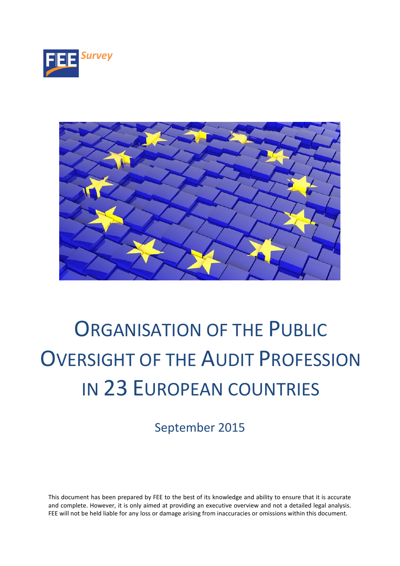



# ORGANISATION OF THE PUBLIC OVERSIGHT OF THE AUDIT PROFESSION IN 23 EUROPEAN COUNTRIES

September 2015

This document has been prepared by FEE to the best of its knowledge and ability to ensure that it is accurate and complete. However, it is only aimed at providing an executive overview and not a detailed legal analysis. FEE will not be held liable for any loss or damage arising from inaccuracies or omissions within this document.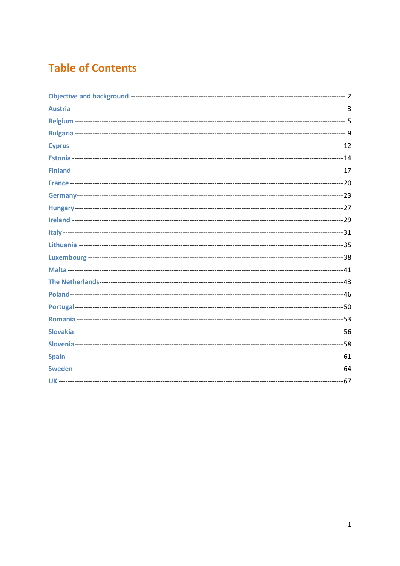# **Table of Contents**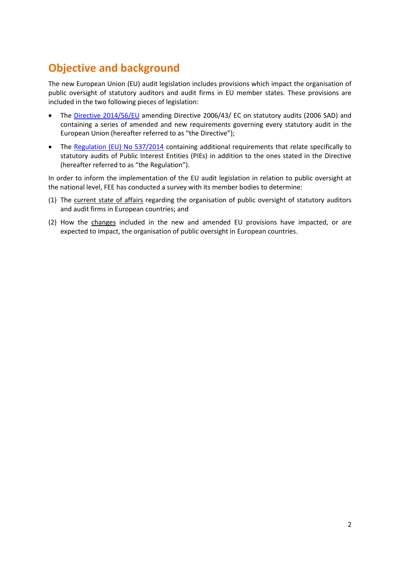# <span id="page-2-0"></span>**Objective and background**

The new European Union (EU) audit legislation includes provisions which impact the organisation of public oversight of statutory auditors and audit firms in EU member states. These provisions are included in the two following pieces of legislation:

- The [Directive 2014/56/EU](http://eur-lex.europa.eu/legal-content/EN/TXT/?uri=CELEX:32014L0056) amending Directive 2006/43/ EC on statutory audits (2006 SAD) and containing a series of amended and new requirements governing every statutory audit in the European Union (hereafter referred to as "the Directive");
- The [Regulation \(EU\) No 537/2014](http://eur-lex.europa.eu/legal-content/EN/TXT/?uri=CELEX:32014R0537) containing additional requirements that relate specifically to statutory audits of Public Interest Entities (PIEs) in addition to the ones stated in the Directive (hereafter referred to as "the Regulation").

In order to inform the implementation of the EU audit legislation in relation to public oversight at the national level, FEE has conducted a survey with its member bodies to determine:

- (1) The current state of affairs regarding the organisation of public oversight of statutory auditors and audit firms in European countries; and
- (2) How the changes included in the new and amended EU provisions have impacted, or are expected to impact, the organisation of public oversight in European countries.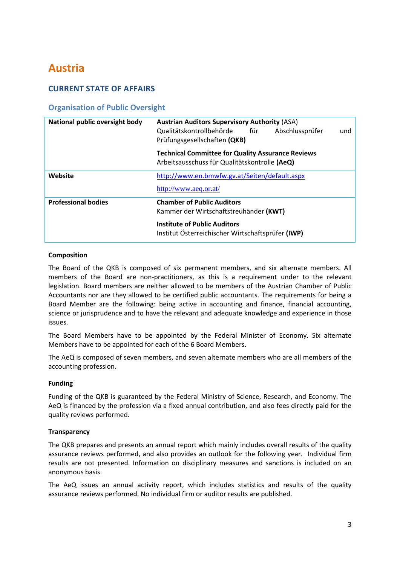# <span id="page-3-0"></span>**Austria**

# **CURRENT STATE OF AFFAIRS**

# **Organisation of Public Oversight**

| National public oversight body | <b>Austrian Auditors Supervisory Authority (ASA)</b><br>Qualitätskontrollbehörde<br>für<br>Abschlussprüfer<br>und<br>Prüfungsgesellschaften (QKB) |
|--------------------------------|---------------------------------------------------------------------------------------------------------------------------------------------------|
|                                | <b>Technical Committee for Quality Assurance Reviews</b><br>Arbeitsausschuss für Qualitätskontrolle (AeQ)                                         |
| Website                        | http://www.en.bmwfw.gv.at/Seiten/default.aspx                                                                                                     |
|                                | http://www.aeq.or.at/                                                                                                                             |
| <b>Professional bodies</b>     | <b>Chamber of Public Auditors</b>                                                                                                                 |
|                                | Kammer der Wirtschaftstreuhänder (KWT)                                                                                                            |
|                                | <b>Institute of Public Auditors</b><br>Institut Österreichischer Wirtschaftsprüfer (IWP)                                                          |

# **Composition**

The Board of the QKB is composed of six permanent members, and six alternate members. All members of the Board are non-practitioners, as this is a requirement under to the relevant legislation. Board members are neither allowed to be members of the Austrian Chamber of Public Accountants nor are they allowed to be certified public accountants. The requirements for being a Board Member are the following: being active in accounting and finance, financial accounting, science or jurisprudence and to have the relevant and adequate knowledge and experience in those issues.

The Board Members have to be appointed by the Federal Minister of Economy. Six alternate Members have to be appointed for each of the 6 Board Members.

The AeQ is composed of seven members, and seven alternate members who are all members of the accounting profession.

### **Funding**

Funding of the QKB is guaranteed by the Federal Ministry of Science, Research, and Economy. The AeQ is financed by the profession via a fixed annual contribution, and also fees directly paid for the quality reviews performed.

### **Transparency**

The QKB prepares and presents an annual report which mainly includes overall results of the quality assurance reviews performed, and also provides an outlook for the following year. Individual firm results are not presented. Information on disciplinary measures and sanctions is included on an anonymous basis.

The AeQ issues an annual activity report, which includes statistics and results of the quality assurance reviews performed. No individual firm or auditor results are published.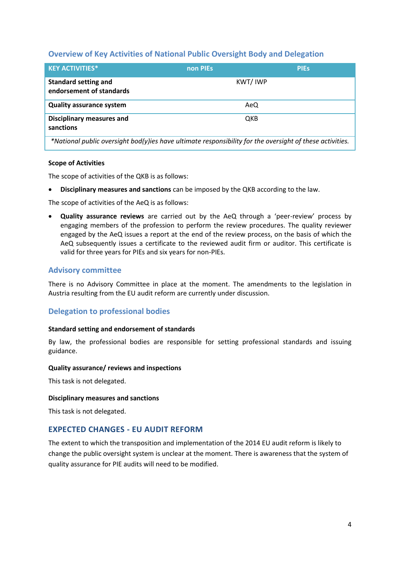# **Overview of Key Activities of National Public Oversight Body and Delegation**

| <b>KEY ACTIVITIES*</b>                                                                                   | non PIEs | <b>PIES</b> |
|----------------------------------------------------------------------------------------------------------|----------|-------------|
| <b>Standard setting and</b><br>endorsement of standards                                                  | KWT/IWP  |             |
| <b>Quality assurance system</b>                                                                          | AeQ      |             |
| <b>Disciplinary measures and</b><br>sanctions                                                            | QKB      |             |
| *National public oversight bod(y)ies have ultimate responsibility for the oversight of these activities. |          |             |

### **Scope of Activities**

The scope of activities of the QKB is as follows:

**Disciplinary measures and sanctions** can be imposed by the QKB according to the law.

The scope of activities of the AeQ is as follows:

 **Quality assurance reviews** are carried out by the AeQ through a 'peer-review' process by engaging members of the profession to perform the review procedures. The quality reviewer engaged by the AeQ issues a report at the end of the review process, on the basis of which the AeQ subsequently issues a certificate to the reviewed audit firm or auditor. This certificate is valid for three years for PIEs and six years for non-PIEs.

# **Advisory committee**

There is no Advisory Committee in place at the moment. The amendments to the legislation in Austria resulting from the EU audit reform are currently under discussion.

# **Delegation to professional bodies**

#### **Standard setting and endorsement of standards**

By law, the professional bodies are responsible for setting professional standards and issuing guidance.

#### **Quality assurance/ reviews and inspections**

This task is not delegated.

#### **Disciplinary measures and sanctions**

This task is not delegated.

# **EXPECTED CHANGES - EU AUDIT REFORM**

The extent to which the transposition and implementation of the 2014 EU audit reform is likely to change the public oversight system is unclear at the moment. There is awareness that the system of quality assurance for PIE audits will need to be modified.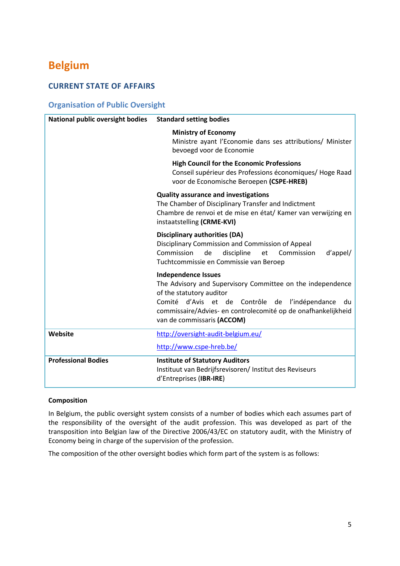# <span id="page-5-0"></span>**Belgium**

# **CURRENT STATE OF AFFAIRS**

# **Organisation of Public Oversight**

| National public oversight bodies | <b>Standard setting bodies</b>                                                                                                                                                                                                                                              |
|----------------------------------|-----------------------------------------------------------------------------------------------------------------------------------------------------------------------------------------------------------------------------------------------------------------------------|
|                                  | <b>Ministry of Economy</b><br>Ministre ayant l'Economie dans ses attributions/ Minister<br>bevoegd voor de Economie                                                                                                                                                         |
|                                  | <b>High Council for the Economic Professions</b><br>Conseil supérieur des Professions économiques/ Hoge Raad<br>voor de Economische Beroepen (CSPE-HREB)                                                                                                                    |
|                                  | <b>Quality assurance and investigations</b><br>The Chamber of Disciplinary Transfer and Indictment<br>Chambre de renvoi et de mise en état/ Kamer van verwijzing en<br>instaatstelling (CRME-KVI)                                                                           |
|                                  | <b>Disciplinary authorities (DA)</b><br>Disciplinary Commission and Commission of Appeal<br>Commission<br>discipline<br>de<br>Commission<br>d'appel/<br>et<br>Tuchtcommissie en Commissie van Beroep                                                                        |
|                                  | <b>Independence Issues</b><br>The Advisory and Supervisory Committee on the independence<br>of the statutory auditor<br>Comité d'Avis et de Contrôle de l'indépendance<br>du<br>commissaire/Advies- en controlecomité op de onafhankelijkheid<br>van de commissaris (ACCOM) |
| Website                          | http://oversight-audit-belgium.eu/<br>http://www.cspe-hreb.be/                                                                                                                                                                                                              |
| <b>Professional Bodies</b>       | <b>Institute of Statutory Auditors</b><br>Instituut van Bedrijfsrevisoren/ Institut des Reviseurs<br>d'Entreprises (IBR-IRE)                                                                                                                                                |

# **Composition**

In Belgium, the public oversight system consists of a number of bodies which each assumes part of the responsibility of the oversight of the audit profession. This was developed as part of the transposition into Belgian law of the Directive 2006/43/EC on statutory audit, with the Ministry of Economy being in charge of the supervision of the profession.

The composition of the other oversight bodies which form part of the system is as follows: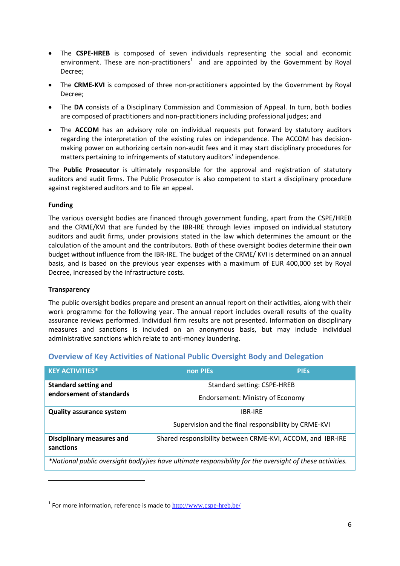- The **CSPE-HREB** is composed of seven individuals representing the social and economic environment. These are non-practitioners<sup>1</sup> and are appointed by the Government by Royal Decree;
- The **CRME-KVI** is composed of three non-practitioners appointed by the Government by Royal Decree;
- The **DA** consists of a Disciplinary Commission and Commission of Appeal. In turn, both bodies are composed of practitioners and non-practitioners including professional judges; and
- The **ACCOM** has an advisory role on individual requests put forward by statutory auditors regarding the interpretation of the existing rules on independence. The ACCOM has decisionmaking power on authorizing certain non-audit fees and it may start disciplinary procedures for matters pertaining to infringements of statutory auditors' independence.

The **Public Prosecutor** is ultimately responsible for the approval and registration of statutory auditors and audit firms. The Public Prosecutor is also competent to start a disciplinary procedure against registered auditors and to file an appeal.

# **Funding**

The various oversight bodies are financed through government funding, apart from the CSPE/HREB and the CRME/KVI that are funded by the IBR-IRE through levies imposed on individual statutory auditors and audit firms, under provisions stated in the law which determines the amount or the calculation of the amount and the contributors. Both of these oversight bodies determine their own budget without influence from the IBR-IRE. The budget of the CRME/ KVI is determined on an annual basis, and is based on the previous year expenses with a maximum of EUR 400,000 set by Royal Decree, increased by the infrastructure costs.

### **Transparency**

 $\overline{a}$ 

The public oversight bodies prepare and present an annual report on their activities, along with their work programme for the following year. The annual report includes overall results of the quality assurance reviews performed. Individual firm results are not presented. Information on disciplinary measures and sanctions is included on an anonymous basis, but may include individual administrative sanctions which relate to anti-money laundering.

# **Overview of Key Activities of National Public Oversight Body and Delegation**

| <b>KEY ACTIVITIES*</b>                                                                                   | non PIEs                                                   | <b>PIES</b> |
|----------------------------------------------------------------------------------------------------------|------------------------------------------------------------|-------------|
| <b>Standard setting and</b><br>endorsement of standards                                                  | Standard setting: CSPE-HREB                                |             |
|                                                                                                          | Endorsement: Ministry of Economy                           |             |
| <b>Quality assurance system</b>                                                                          | IBR-IRF                                                    |             |
|                                                                                                          | Supervision and the final responsibility by CRME-KVI       |             |
| <b>Disciplinary measures and</b><br>sanctions                                                            | Shared responsibility between CRME-KVI, ACCOM, and IBR-IRE |             |
| *National public oversight bod(y)ies have ultimate responsibility for the oversight of these activities. |                                                            |             |

<sup>&</sup>lt;sup>1</sup> For more information, reference is made to <http://www.cspe-hreb.be/>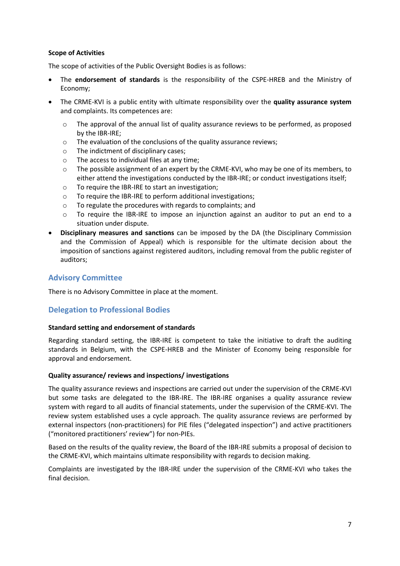# **Scope of Activities**

The scope of activities of the Public Oversight Bodies is as follows:

- The **endorsement of standards** is the responsibility of the CSPE-HREB and the Ministry of Economy;
- The CRME-KVI is a public entity with ultimate responsibility over the **quality assurance system**  and complaints. Its competences are:
	- $\circ$  The approval of the annual list of quality assurance reviews to be performed, as proposed by the IBR-IRE;
	- o The evaluation of the conclusions of the quality assurance reviews;
	- o The indictment of disciplinary cases;
	- o The access to individual files at any time;
	- o The possible assignment of an expert by the CRME-KVI, who may be one of its members, to either attend the investigations conducted by the IBR-IRE; or conduct investigations itself;
	- o To require the IBR-IRE to start an investigation;
	- o To require the IBR-IRE to perform additional investigations;
	- o To regulate the procedures with regards to complaints; and
	- o To require the IBR-IRE to impose an injunction against an auditor to put an end to a situation under dispute.
- **Disciplinary measures and sanctions** can be imposed by the DA (the Disciplinary Commission and the Commission of Appeal) which is responsible for the ultimate decision about the imposition of sanctions against registered auditors, including removal from the public register of auditors;

# **Advisory Committee**

There is no Advisory Committee in place at the moment.

# **Delegation to Professional Bodies**

### **Standard setting and endorsement of standards**

Regarding standard setting, the IBR-IRE is competent to take the initiative to draft the auditing standards in Belgium, with the CSPE-HREB and the Minister of Economy being responsible for approval and endorsement.

### **Quality assurance/ reviews and inspections/ investigations**

The quality assurance reviews and inspections are carried out under the supervision of the CRME-KVI but some tasks are delegated to the IBR-IRE. The IBR-IRE organises a quality assurance review system with regard to all audits of financial statements, under the supervision of the CRME-KVI. The review system established uses a cycle approach. The quality assurance reviews are performed by external inspectors (non-practitioners) for PIE files ("delegated inspection") and active practitioners ("monitored practitioners' review") for non-PIEs.

Based on the results of the quality review, the Board of the IBR-IRE submits a proposal of decision to the CRME-KVI, which maintains ultimate responsibility with regards to decision making.

Complaints are investigated by the IBR-IRE under the supervision of the CRME-KVI who takes the final decision.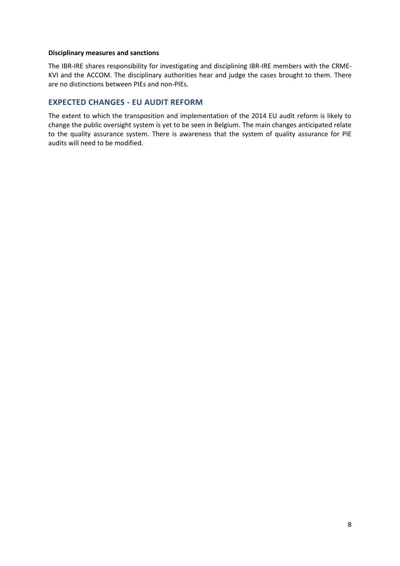#### **Disciplinary measures and sanctions**

The IBR-IRE shares responsibility for investigating and disciplining IBR-IRE members with the CRME-KVI and the ACCOM. The disciplinary authorities hear and judge the cases brought to them. There are no distinctions between PIEs and non-PIEs.

# **EXPECTED CHANGES - EU AUDIT REFORM**

The extent to which the transposition and implementation of the 2014 EU audit reform is likely to change the public oversight system is yet to be seen in Belgium. The main changes anticipated relate to the quality assurance system. There is awareness that the system of quality assurance for PIE audits will need to be modified.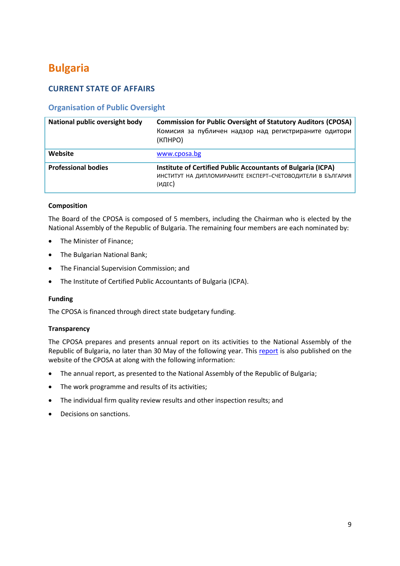# <span id="page-9-0"></span>**Bulgaria**

# **CURRENT STATE OF AFFAIRS**

# **Organisation of Public Oversight**

| National public oversight body | <b>Commission for Public Oversight of Statutory Auditors (CPOSA)</b><br>Комисия за публичен надзор над регистрираните одитори<br>(KNHPO) |
|--------------------------------|------------------------------------------------------------------------------------------------------------------------------------------|
| Website                        | www.cposa.bg                                                                                                                             |
| <b>Professional bodies</b>     | Institute of Certified Public Accountants of Bulgaria (ICPA)<br>ИНСТИТУТ НА ДИПЛОМИРАНИТЕ ЕКСПЕРТ-СЧЕТОВОДИТЕЛИ В БЪЛГАРИЯ<br>(ИДЕС)     |

# **Composition**

The Board of the CPOSA is composed of 5 members, including the Chairman who is elected by the National Assembly of the Republic of Bulgaria. The remaining four members are each nominated by:

- The Minister of Finance;
- The Bulgarian National Bank;
- The Financial Supervision Commission; and
- The Institute of Certified Public Accountants of Bulgaria (ICPA).

### **Funding**

The CPOSA is financed through direct state budgetary funding.

### **Transparency**

The CPOSA prepares and presents annual report on its activities to the National Assembly of the Republic of Bulgaria, no later than 30 May of the following year. This [report](http://www.cposa.bg/en/) is also published on the website of the CPOSA at along with the following information:

- The annual report, as presented to the National Assembly of the Republic of Bulgaria;
- The work programme and results of its activities;
- The individual firm quality review results and other inspection results; and
- Decisions on sanctions.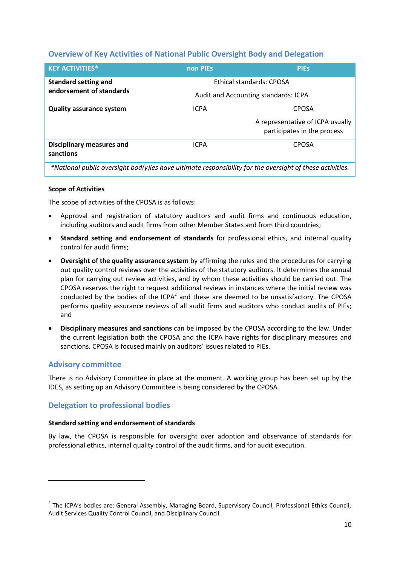# **Overview of Key Activities of National Public Oversight Body and Delegation**

| <b>KEY ACTIVITIES*</b>                                                                                   | non PIEs                             | <b>PIES</b>                      |  |
|----------------------------------------------------------------------------------------------------------|--------------------------------------|----------------------------------|--|
| <b>Standard setting and</b>                                                                              | Ethical standards: CPOSA             |                                  |  |
| endorsement of standards                                                                                 | Audit and Accounting standards: ICPA |                                  |  |
| <b>Quality assurance system</b>                                                                          | <b>ICPA</b>                          | <b>CPOSA</b>                     |  |
|                                                                                                          |                                      | A representative of ICPA usually |  |
|                                                                                                          |                                      | participates in the process      |  |
| <b>Disciplinary measures and</b>                                                                         | <b>ICPA</b>                          | <b>CPOSA</b>                     |  |
| sanctions                                                                                                |                                      |                                  |  |
| *National public oversight bod(y)ies have ultimate responsibility for the oversight of these activities. |                                      |                                  |  |

# **Scope of Activities**

The scope of activities of the CPOSA is as follows:

- Approval and registration of statutory auditors and audit firms and continuous education, including auditors and audit firms from other Member States and from third countries;
- **Standard setting and endorsement of standards** for professional ethics, and internal quality control for audit firms;
- **Oversight of the quality assurance system** by affirming the rules and the procedures for carrying out quality control reviews over the activities of the statutory auditors. It determines the annual plan for carrying out review activities, and by whom these activities should be carried out. The CPOSA reserves the right to request additional reviews in instances where the initial review was conducted by the bodies of the ICPA<sup>2</sup> and these are deemed to be unsatisfactory. The CPOSA performs quality assurance reviews of all audit firms and auditors who conduct audits of PIEs; and
- **Disciplinary measures and sanctions** can be imposed by the CPOSA according to the law. Under the current legislation both the CPOSA and the ICPA have rights for disciplinary measures and sanctions. CPOSA is focused mainly on auditors' issues related to PIEs.

# **Advisory committee**

 $\overline{a}$ 

There is no Advisory Committee in place at the moment. A working group has been set up by the IDES, as setting up an Advisory Committee is being considered by the CPOSA.

# **Delegation to professional bodies**

### **Standard setting and endorsement of standards**

By law, the CPOSA is responsible for oversight over adoption and observance of standards for professional ethics, internal quality control of the audit firms, and for audit execution.

<sup>&</sup>lt;sup>2</sup> The ICPA's bodies are: General Assembly, Managing Board, Supervisory Council, Professional Ethics Council, Audit Services Quality Control Council, and Disciplinary Council.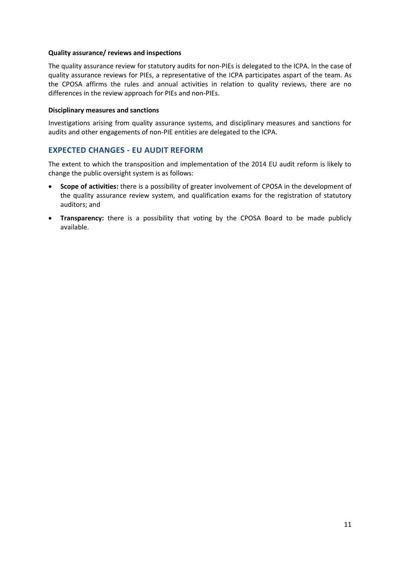#### **Quality assurance/ reviews and inspections**

The quality assurance review for statutory audits for non-PIEs is delegated to the ICPA. In the case of quality assurance reviews for PIEs, a representative of the ICPA participates aspart of the team. As the CPOSA affirms the rules and annual activities in relation to quality reviews, there are no differences in the review approach for PIEs and non-PIEs.

#### **Disciplinary measures and sanctions**

Investigations arising from quality assurance systems, and disciplinary measures and sanctions for audits and other engagements of non-PIE entities are delegated to the ICPA.

# **EXPECTED CHANGES - EU AUDIT REFORM**

The extent to which the transposition and implementation of the 2014 EU audit reform is likely to change the public oversight system is as follows:

- **Scope of activities:** there is a possibility of greater involvement of CPOSA in the development of the quality assurance review system, and qualification exams for the registration of statutory auditors; and
- **Transparency:** there is a possibility that voting by the CPOSA Board to be made publicly available.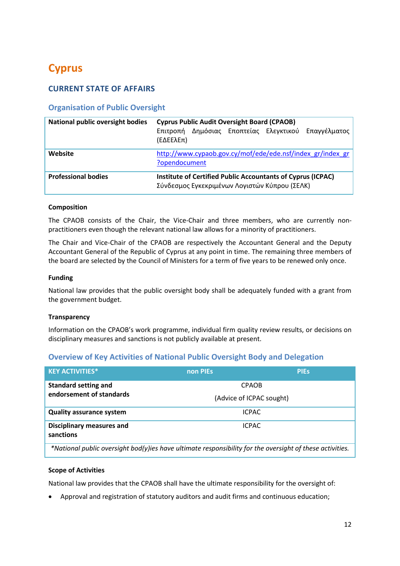# <span id="page-12-0"></span>**Cyprus**

# **CURRENT STATE OF AFFAIRS**

# **Organisation of Public Oversight**

| <b>National public oversight bodies</b> | <b>Cyprus Public Audit Oversight Board (CPAOB)</b><br>Δημόσιας Εποπτείας Ελεγκτικού Επαγγέλματος<br>Επιτροπή<br>$(E\Delta E E\lambda E\pi)$ |
|-----------------------------------------|---------------------------------------------------------------------------------------------------------------------------------------------|
| Website                                 | http://www.cypaob.gov.cy/mof/ede/ede.nsf/index_gr/index_gr<br>?opendocument                                                                 |
| <b>Professional bodies</b>              | Institute of Certified Public Accountants of Cyprus (ICPAC)<br>Σύνδεσμος Εγκεκριμένων Λογιστών Κύπρου (ΣΕΛΚ)                                |

# **Composition**

The CPAOB consists of the Chair, the Vice-Chair and three members, who are currently nonpractitioners even though the relevant national law allows for a minority of practitioners.

The Chair and Vice-Chair of the CPAOB are respectively the Accountant General and the Deputy Accountant General of the Republic of Cyprus at any point in time. The remaining three members of the board are selected by the Council of Ministers for a term of five years to be renewed only once.

### **Funding**

National law provides that the public oversight body shall be adequately funded with a grant from the government budget.

### **Transparency**

Information on the CPAOB's work programme, individual firm quality review results, or decisions on disciplinary measures and sanctions is not publicly available at present.

# **Overview of Key Activities of National Public Oversight Body and Delegation**

| <b>KEY ACTIVITIES*</b>                                                                                   | non PIEs                 | <b>PIES</b> |
|----------------------------------------------------------------------------------------------------------|--------------------------|-------------|
| <b>Standard setting and</b>                                                                              | <b>CPAOB</b>             |             |
| endorsement of standards                                                                                 | (Advice of ICPAC sought) |             |
| <b>Quality assurance system</b>                                                                          | <b>ICPAC</b>             |             |
| <b>Disciplinary measures and</b><br>sanctions                                                            | <b>ICPAC</b>             |             |
| *National public oversight bod(y)ies have ultimate responsibility for the oversight of these activities. |                          |             |

### **Scope of Activities**

National law provides that the CPAOB shall have the ultimate responsibility for the oversight of:

Approval and registration of statutory auditors and audit firms and continuous education;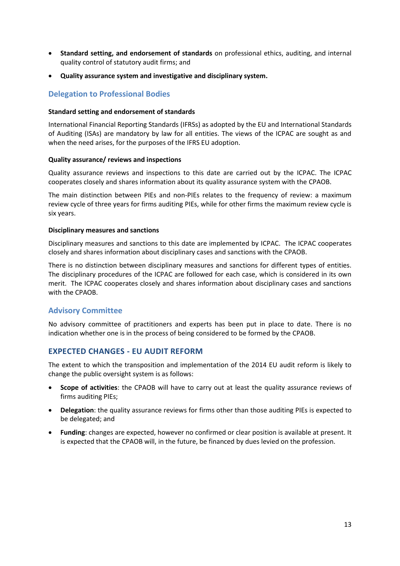- **Standard setting, and endorsement of standards** on professional ethics, auditing, and internal quality control of statutory audit firms; and
- **Quality assurance system and investigative and disciplinary system.**

# **Delegation to Professional Bodies**

#### **Standard setting and endorsement of standards**

International Financial Reporting Standards (IFRSs) as adopted by the EU and International Standards of Auditing (ISAs) are mandatory by law for all entities. The views of the ICPAC are sought as and when the need arises, for the purposes of the IFRS EU adoption.

#### **Quality assurance/ reviews and inspections**

Quality assurance reviews and inspections to this date are carried out by the ICPAC. The ICPAC cooperates closely and shares information about its quality assurance system with the CPAOB.

The main distinction between PIEs and non-PIEs relates to the frequency of review: a maximum review cycle of three years for firms auditing PIEs, while for other firms the maximum review cycle is six years.

#### **Disciplinary measures and sanctions**

Disciplinary measures and sanctions to this date are implemented by ICPAC. The ICPAC cooperates closely and shares information about disciplinary cases and sanctions with the CPAOB.

There is no distinction between disciplinary measures and sanctions for different types of entities. The disciplinary procedures of the ICPAC are followed for each case, which is considered in its own merit. The ICPAC cooperates closely and shares information about disciplinary cases and sanctions with the CPAOB.

# **Advisory Committee**

No advisory committee of practitioners and experts has been put in place to date. There is no indication whether one is in the process of being considered to be formed by the CPAOB.

# **EXPECTED CHANGES - EU AUDIT REFORM**

The extent to which the transposition and implementation of the 2014 EU audit reform is likely to change the public oversight system is as follows:

- **Scope of activities**: the CPAOB will have to carry out at least the quality assurance reviews of firms auditing PIEs;
- **Delegation**: the quality assurance reviews for firms other than those auditing PIEs is expected to be delegated; and
- **Funding**: changes are expected, however no confirmed or clear position is available at present. It is expected that the CPAOB will, in the future, be financed by dues levied on the profession.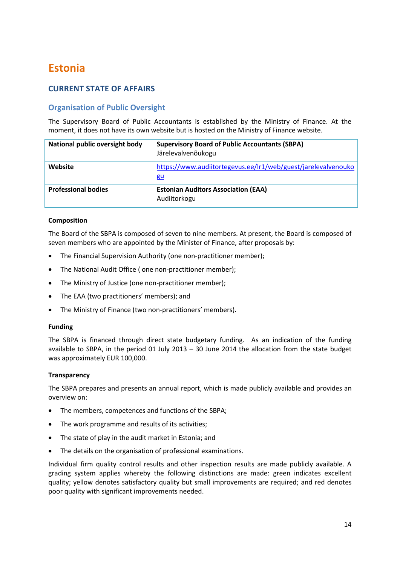# <span id="page-14-0"></span>**Estonia**

# **CURRENT STATE OF AFFAIRS**

# **Organisation of Public Oversight**

The Supervisory Board of Public Accountants is established by the Ministry of Finance. At the moment, it does not have its own website but is hosted on the Ministry of Finance website.

| National public oversight body | <b>Supervisory Board of Public Accountants (SBPA)</b><br>Järelevalvenõukogu |
|--------------------------------|-----------------------------------------------------------------------------|
| Website                        | https://www.audiitortegevus.ee/lr1/web/guest/jarelevalvenouko<br>gu         |
| <b>Professional bodies</b>     | <b>Estonian Auditors Association (EAA)</b><br>Audiitorkogu                  |

# **Composition**

The Board of the SBPA is composed of seven to nine members. At present, the Board is composed of seven members who are appointed by the Minister of Finance, after proposals by:

- The Financial Supervision Authority (one non-practitioner member);
- The National Audit Office ( one non-practitioner member);
- The Ministry of Justice (one non-practitioner member);
- The EAA (two practitioners' members); and
- The Ministry of Finance (two non-practitioners' members).

### **Funding**

The SBPA is financed through direct state budgetary funding.As an indication of the funding available to SBPA, in the period 01 July 2013 – 30 June 2014 the allocation from the state budget was approximately EUR 100,000.

### **Transparency**

The SBPA prepares and presents an annual report, which is made publicly available and provides an overview on:

- The members, competences and functions of the SBPA;
- The work programme and results of its activities;
- The state of play in the audit market in Estonia; and
- The details on the organisation of professional examinations.

Individual firm quality control results and other inspection results are made publicly available. A grading system applies whereby the following distinctions are made: green indicates excellent quality; yellow denotes satisfactory quality but small improvements are required; and red denotes poor quality with significant improvements needed.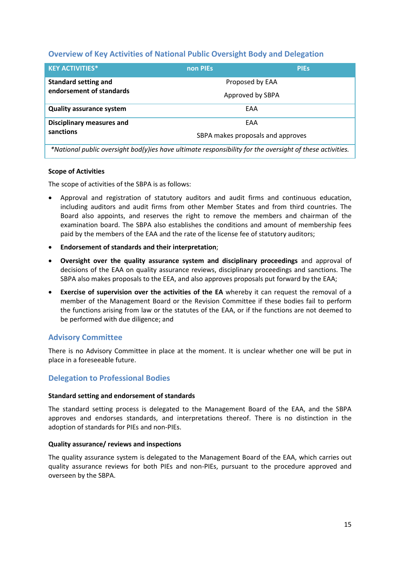# **Overview of Key Activities of National Public Oversight Body and Delegation**

| <b>KEY ACTIVITIES*</b>                                                                                   | non PIEs                          | <b>PIES</b> |
|----------------------------------------------------------------------------------------------------------|-----------------------------------|-------------|
| <b>Standard setting and</b>                                                                              | Proposed by EAA                   |             |
| endorsement of standards                                                                                 | Approved by SBPA                  |             |
| <b>Quality assurance system</b>                                                                          | EAA                               |             |
| <b>Disciplinary measures and</b>                                                                         | <b>FAA</b>                        |             |
| sanctions                                                                                                | SBPA makes proposals and approves |             |
| *National public oversight bod(y)ies have ultimate responsibility for the oversight of these activities. |                                   |             |

# **Scope of Activities**

The scope of activities of the SBPA is as follows:

- Approval and registration of statutory auditors and audit firms and continuous education, including auditors and audit firms from other Member States and from third countries. The Board also appoints, and reserves the right to remove the members and chairman of the examination board. The SBPA also establishes the conditions and amount of membership fees paid by the members of the EAA and the rate of the license fee of statutory auditors;
- **Endorsement of standards and their interpretation**;
- **Oversight over the quality assurance system and disciplinary proceedings** and approval of decisions of the EAA on quality assurance reviews, disciplinary proceedings and sanctions. The SBPA also makes proposals to the EEA, and also approves proposals put forward by the EAA;
- **Exercise of supervision over the activities of the EA** whereby it can request the removal of a member of the Management Board or the Revision Committee if these bodies fail to perform the functions arising from law or the statutes of the EAA, or if the functions are not deemed to be performed with due diligence; and

# **Advisory Committee**

There is no Advisory Committee in place at the moment. It is unclear whether one will be put in place in a foreseeable future.

# **Delegation to Professional Bodies**

### **Standard setting and endorsement of standards**

The standard setting process is delegated to the Management Board of the EAA, and the SBPA approves and endorses standards, and interpretations thereof. There is no distinction in the adoption of standards for PIEs and non-PIEs.

### **Quality assurance/ reviews and inspections**

The quality assurance system is delegated to the Management Board of the EAA, which carries out quality assurance reviews for both PIEs and non-PIEs, pursuant to the procedure approved and overseen by the SBPA.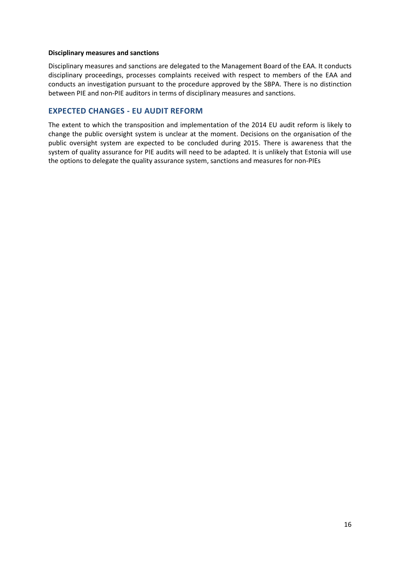#### **Disciplinary measures and sanctions**

Disciplinary measures and sanctions are delegated to the Management Board of the EAA. It conducts disciplinary proceedings, processes complaints received with respect to members of the EAA and conducts an investigation pursuant to the procedure approved by the SBPA. There is no distinction between PIE and non-PIE auditors in terms of disciplinary measures and sanctions.

# **EXPECTED CHANGES - EU AUDIT REFORM**

The extent to which the transposition and implementation of the 2014 EU audit reform is likely to change the public oversight system is unclear at the moment. Decisions on the organisation of the public oversight system are expected to be concluded during 2015. There is awareness that the system of quality assurance for PIE audits will need to be adapted. It is unlikely that Estonia will use the options to delegate the quality assurance system, sanctions and measures for non-PIEs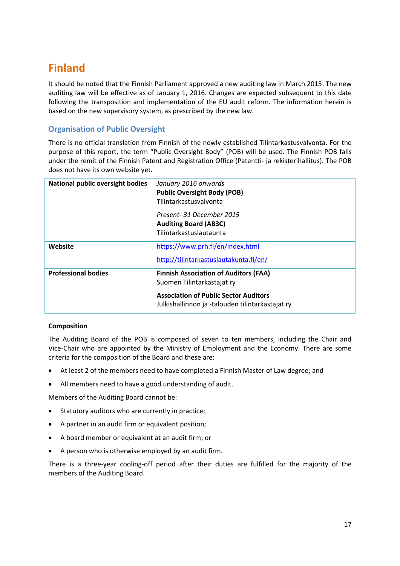# <span id="page-17-0"></span>**Finland**

It should be noted that the Finnish Parliament approved a new auditing law in March 2015. The new auditing law will be effective as of January 1, 2016. Changes are expected subsequent to this date following the transposition and implementation of the EU audit reform. The information herein is based on the new supervisory system, as prescribed by the new law.

# **Organisation of Public Oversight**

There is no official translation from Finnish of the newly established Tilintarkastusvalvonta. For the purpose of this report, the term "Public Oversight Body" (POB) will be used. The Finnish POB falls under the remit of the Finnish Patent and Registration Office (Patentti- ja rekisterihallitus). The POB does not have its own website yet.

| <b>National public oversight bodies</b> | January 2016 onwards<br><b>Public Oversight Body (POB)</b><br>Tilintarkastusvalvonta             |
|-----------------------------------------|--------------------------------------------------------------------------------------------------|
|                                         | Present-31 December 2015<br><b>Auditing Board (AB3C)</b><br>Tilintarkastuslautaunta              |
| Website                                 | https://www.prh.fi/en/index.html                                                                 |
|                                         | http://tilintarkastuslautakunta.fi/en/                                                           |
| <b>Professional bodies</b>              | <b>Finnish Association of Auditors (FAA)</b><br>Suomen Tilintarkastajat ry                       |
|                                         | <b>Association of Public Sector Auditors</b><br>Julkishallinnon ja -talouden tilintarkastajat ry |

# **Composition**

The Auditing Board of the POB is composed of seven to ten members, including the Chair and Vice-Chair who are appointed by the Ministry of Employment and the Economy. There are some criteria for the composition of the Board and these are:

- At least 2 of the members need to have completed a Finnish Master of Law degree; and
- All members need to have a good understanding of audit.

Members of the Auditing Board cannot be:

- Statutory auditors who are currently in practice;
- A partner in an audit firm or equivalent position;
- A board member or equivalent at an audit firm; or
- A person who is otherwise employed by an audit firm.

There is a three-year cooling-off period after their duties are fulfilled for the majority of the members of the Auditing Board.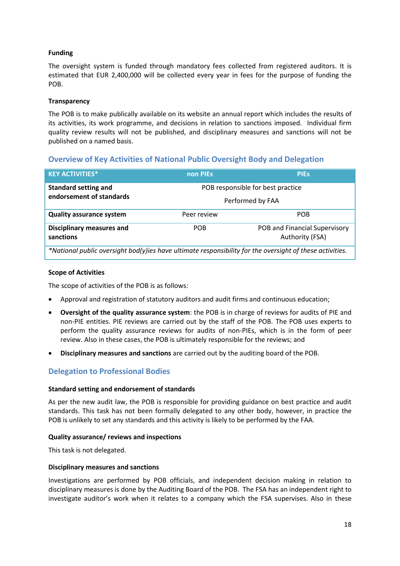# **Funding**

The oversight system is funded through mandatory fees collected from registered auditors. It is estimated that EUR 2,400,000 will be collected every year in fees for the purpose of funding the POB.

# **Transparency**

The POB is to make publically available on its website an annual report which includes the results of its activities, its work programme, and decisions in relation to sanctions imposed. Individual firm quality review results will not be published, and disciplinary measures and sanctions will not be published on a named basis.

# **Overview of Key Activities of National Public Oversight Body and Delegation**

| <b>KEY ACTIVITIES*</b>                                                                                   | non PIEs    | <b>PIES</b>                                      |
|----------------------------------------------------------------------------------------------------------|-------------|--------------------------------------------------|
| <b>Standard setting and</b>                                                                              |             | POB responsible for best practice                |
| endorsement of standards                                                                                 |             | Performed by FAA                                 |
| <b>Quality assurance system</b>                                                                          | Peer review | <b>POB</b>                                       |
| <b>Disciplinary measures and</b><br>sanctions                                                            | <b>POB</b>  | POB and Financial Supervisory<br>Authority (FSA) |
| *National public oversight bod(y)ies have ultimate responsibility for the oversight of these activities. |             |                                                  |

# **Scope of Activities**

The scope of activities of the POB is as follows:

- Approval and registration of statutory auditors and audit firms and continuous education;
- **Oversight of the quality assurance system**: the POB is in charge of reviews for audits of PIE and non-PIE entities. PIE reviews are carried out by the staff of the POB. The POB uses experts to perform the quality assurance reviews for audits of non-PIEs, which is in the form of peer review. Also in these cases, the POB is ultimately responsible for the reviews; and
- **Disciplinary measures and sanctions** are carried out by the auditing board of the POB.

# **Delegation to Professional Bodies**

### **Standard setting and endorsement of standards**

As per the new audit law, the POB is responsible for providing guidance on best practice and audit standards. This task has not been formally delegated to any other body, however, in practice the POB is unlikely to set any standards and this activity is likely to be performed by the FAA.

### **Quality assurance/ reviews and inspections**

This task is not delegated.

# **Disciplinary measures and sanctions**

Investigations are performed by POB officials, and independent decision making in relation to disciplinary measures is done by the Auditing Board of the POB. The FSA has an independent right to investigate auditor's work when it relates to a company which the FSA supervises. Also in these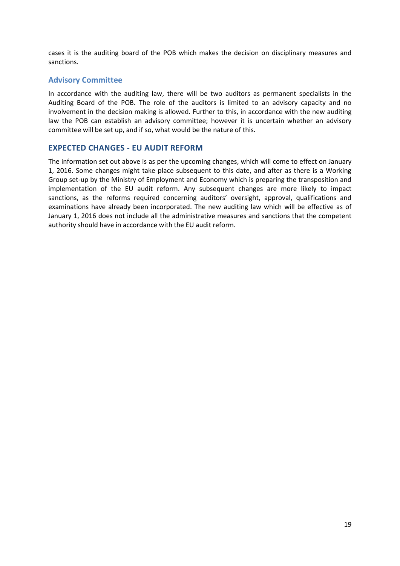cases it is the auditing board of the POB which makes the decision on disciplinary measures and sanctions.

# **Advisory Committee**

In accordance with the auditing law, there will be two auditors as permanent specialists in the Auditing Board of the POB. The role of the auditors is limited to an advisory capacity and no involvement in the decision making is allowed. Further to this, in accordance with the new auditing law the POB can establish an advisory committee; however it is uncertain whether an advisory committee will be set up, and if so, what would be the nature of this.

# **EXPECTED CHANGES - EU AUDIT REFORM**

The information set out above is as per the upcoming changes, which will come to effect on January 1, 2016. Some changes might take place subsequent to this date, and after as there is a Working Group set-up by the Ministry of Employment and Economy which is preparing the transposition and implementation of the EU audit reform. Any subsequent changes are more likely to impact sanctions, as the reforms required concerning auditors' oversight, approval, qualifications and examinations have already been incorporated. The new auditing law which will be effective as of January 1, 2016 does not include all the administrative measures and sanctions that the competent authority should have in accordance with the EU audit reform.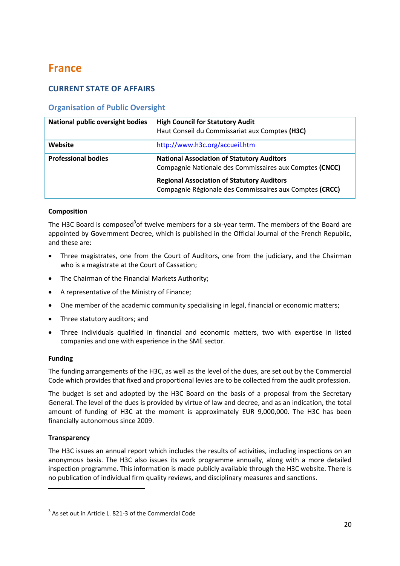# <span id="page-20-0"></span>**France**

# **CURRENT STATE OF AFFAIRS**

# **Organisation of Public Oversight**

| <b>National public oversight bodies</b> | <b>High Council for Statutory Audit</b><br>Haut Conseil du Commissariat aux Comptes (H3C)                    |
|-----------------------------------------|--------------------------------------------------------------------------------------------------------------|
| Website                                 | http://www.h3c.org/accueil.htm                                                                               |
| <b>Professional bodies</b>              | <b>National Association of Statutory Auditors</b><br>Compagnie Nationale des Commissaires aux Comptes (CNCC) |
|                                         | <b>Regional Association of Statutory Auditors</b><br>Compagnie Régionale des Commissaires aux Comptes (CRCC) |

# **Composition**

The H3C Board is composed<sup>3</sup>of twelve members for a six-year term. The members of the Board are appointed by Government Decree, which is published in the Official Journal of the French Republic, and these are:

- Three magistrates, one from the Court of Auditors, one from the judiciary, and the Chairman who is a magistrate at the Court of Cassation;
- The Chairman of the Financial Markets Authority;
- A representative of the Ministry of Finance;
- One member of the academic community specialising in legal, financial or economic matters;
- Three statutory auditors; and
- Three individuals qualified in financial and economic matters, two with expertise in listed companies and one with experience in the SME sector.

### **Funding**

The funding arrangements of the H3C, as well as the level of the dues, are set out by the Commercial Code which provides that fixed and proportional levies are to be collected from the audit profession.

The budget is set and adopted by the H3C Board on the basis of a proposal from the Secretary General. The level of the dues is provided by virtue of law and decree, and as an indication, the total amount of funding of H3C at the moment is approximately EUR 9,000,000. The H3C has been financially autonomous since 2009.

### **Transparency**

**.** 

The H3C issues an annual report which includes the results of activities, including inspections on an anonymous basis. The H3C also issues its work programme annually, along with a more detailed inspection programme. This information is made publicly available through the H3C website. There is no publication of individual firm quality reviews, and disciplinary measures and sanctions.

 $3$  As set out in Article L. 821-3 of the Commercial Code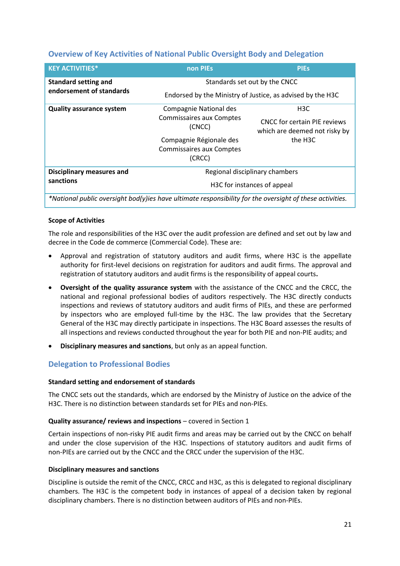# **Overview of Key Activities of National Public Oversight Body and Delegation**

| <b>KEY ACTIVITIES*</b>           | non PIEs                                  | <b>PIEs</b>                                                          |  |
|----------------------------------|-------------------------------------------|----------------------------------------------------------------------|--|
| <b>Standard setting and</b>      | Standards set out by the CNCC             |                                                                      |  |
| endorsement of standards         |                                           | Endorsed by the Ministry of Justice, as advised by the H3C           |  |
| <b>Quality assurance system</b>  | <b>Compagnie National des</b>             | H <sub>3</sub> C                                                     |  |
|                                  | <b>Commissaires aux Comptes</b><br>(CNCC) | <b>CNCC for certain PIE reviews</b><br>which are deemed not risky by |  |
|                                  | Compagnie Régionale des                   | the H3C                                                              |  |
|                                  | <b>Commissaires aux Comptes</b>           |                                                                      |  |
|                                  | (CRCC)                                    |                                                                      |  |
| <b>Disciplinary measures and</b> |                                           | Regional disciplinary chambers                                       |  |
| sanctions                        |                                           | H3C for instances of appeal                                          |  |
|                                  |                                           |                                                                      |  |

*\*National public oversight bod(y)ies have ultimate responsibility for the oversight of these activities.*

# **Scope of Activities**

The role and responsibilities of the H3C over the audit profession are defined and set out by law and decree in the Code de commerce (Commercial Code). These are:

- Approval and registration of statutory auditors and audit firms, where H3C is the appellate authority for first-level decisions on registration for auditors and audit firms. The approval and registration of statutory auditors and audit firms is the responsibility of appeal courts**.**
- **Oversight of the quality assurance system** with the assistance of the CNCC and the CRCC, the national and regional professional bodies of auditors respectively. The H3C directly conducts inspections and reviews of statutory auditors and audit firms of PIEs, and these are performed by inspectors who are employed full-time by the H3C. The law provides that the Secretary General of the H3C may directly participate in inspections. The H3C Board assesses the results of all inspections and reviews conducted throughout the year for both PIE and non-PIE audits; and
- **Disciplinary measures and sanctions**, but only as an appeal function.

# **Delegation to Professional Bodies**

### **Standard setting and endorsement of standards**

The CNCC sets out the standards, which are endorsed by the Ministry of Justice on the advice of the H3C. There is no distinction between standards set for PIEs and non-PIEs.

### **Quality assurance/ reviews and inspections** – covered in Section 1

Certain inspections of non-risky PIE audit firms and areas may be carried out by the CNCC on behalf and under the close supervision of the H3C. Inspections of statutory auditors and audit firms of non-PIEs are carried out by the CNCC and the CRCC under the supervision of the H3C.

### **Disciplinary measures and sanctions**

Discipline is outside the remit of the CNCC, CRCC and H3C, as this is delegated to regional disciplinary chambers. The H3C is the competent body in instances of appeal of a decision taken by regional disciplinary chambers. There is no distinction between auditors of PIEs and non-PIEs.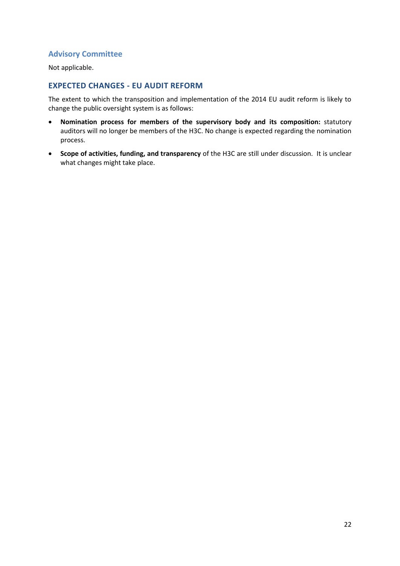# **Advisory Committee**

Not applicable.

# **EXPECTED CHANGES - EU AUDIT REFORM**

The extent to which the transposition and implementation of the 2014 EU audit reform is likely to change the public oversight system is as follows:

- **Nomination process for members of the supervisory body and its composition:** statutory auditors will no longer be members of the H3C. No change is expected regarding the nomination process.
- **Scope of activities, funding, and transparency** of the H3C are still under discussion. It is unclear what changes might take place.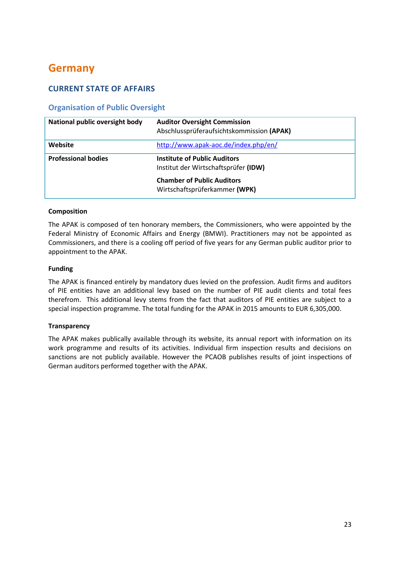# <span id="page-23-0"></span>**Germany**

# **CURRENT STATE OF AFFAIRS**

# **Organisation of Public Oversight**

| National public oversight body | <b>Auditor Oversight Commission</b><br>Abschlussprüferaufsichtskommission (APAK) |
|--------------------------------|----------------------------------------------------------------------------------|
| Website                        | http://www.apak-aoc.de/index.php/en/                                             |
| <b>Professional bodies</b>     | <b>Institute of Public Auditors</b><br>Institut der Wirtschaftsprüfer (IDW)      |
|                                | <b>Chamber of Public Auditors</b><br>Wirtschaftsprüferkammer (WPK)               |

# **Composition**

The APAK is composed of ten honorary members, the Commissioners, who were appointed by the Federal Ministry of Economic Affairs and Energy (BMWI). Practitioners may not be appointed as Commissioners, and there is a cooling off period of five years for any German public auditor prior to appointment to the APAK.

# **Funding**

The APAK is financed entirely by mandatory dues levied on the profession. Audit firms and auditors of PIE entities have an additional levy based on the number of PIE audit clients and total fees therefrom. This additional levy stems from the fact that auditors of PIE entities are subject to a special inspection programme. The total funding for the APAK in 2015 amounts to EUR 6,305,000.

### **Transparency**

The APAK makes publically available through its website, its annual report with information on its work programme and results of its activities. Individual firm inspection results and decisions on sanctions are not publicly available. However the PCAOB publishes results of joint inspections of German auditors performed together with the APAK.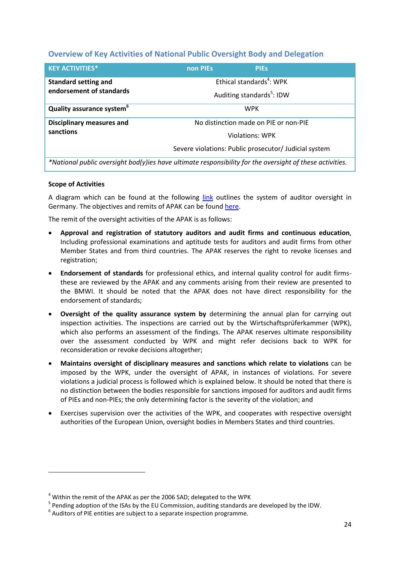# **Overview of Key Activities of National Public Oversight Body and Delegation**

| <b>KEY ACTIVITIES*</b>                                                                                   | non PIEs | <b>PIES</b>                           |                                                       |
|----------------------------------------------------------------------------------------------------------|----------|---------------------------------------|-------------------------------------------------------|
| <b>Standard setting and</b>                                                                              |          | Ethical standards <sup>4</sup> : WPK  |                                                       |
| endorsement of standards                                                                                 |          | Auditing standards <sup>5</sup> : IDW |                                                       |
| Quality assurance system <sup>6</sup>                                                                    |          | <b>WPK</b>                            |                                                       |
| <b>Disciplinary measures and</b>                                                                         |          | No distinction made on PIE or non-PIE |                                                       |
| sanctions                                                                                                |          | <b>Violations: WPK</b>                |                                                       |
|                                                                                                          |          |                                       | Severe violations: Public prosecutor/ Judicial system |
| *National public oversight bod(y)ies have ultimate responsibility for the oversight of these activities. |          |                                       |                                                       |

### **Scope of Activities**

**.** 

A diagram which can be found at the following [link](http://www.apak-aoc.de/index.php/en/about-aoc/auditor-oversight-in-germany/chart) outlines the system of auditor oversight in Germany. The objectives and remits of APAK can be found [here.](http://www.apak-aoc.de/index.php/en/about-aoc/objectives-and-remits)

The remit of the oversight activities of the APAK is as follows:

- **Approval and registration of statutory auditors and audit firms and continuous education**, Including professional examinations and aptitude tests for auditors and audit firms from other Member States and from third countries. The APAK reserves the right to revoke licenses and registration;
- **Endorsement of standards** for professional ethics, and internal quality control for audit firmsthese are reviewed by the APAK and any comments arising from their review are presented to the BMWI. It should be noted that the APAK does not have direct responsibility for the endorsement of standards;
- **Oversight of the quality assurance system by** determining the annual plan for carrying out inspection activities. The inspections are carried out by the Wirtschaftsprüferkammer (WPK), which also performs an assessment of the findings. The APAK reserves ultimate responsibility over the assessment conducted by WPK and might refer decisions back to WPK for reconsideration or revoke decisions altogether;
- **Maintains oversight of disciplinary measures and sanctions which relate to violations** can be imposed by the WPK, under the oversight of APAK, in instances of violations. For severe violations a judicial process is followed which is explained below. It should be noted that there is no distinction between the bodies responsible for sanctions imposed for auditors and audit firms of PIEs and non-PIEs; the only determining factor is the severity of the violation; and
- Exercises supervision over the activities of the WPK, and cooperates with respective oversight authorities of the European Union, oversight bodies in Members States and third countries.

 $4$  Within the remit of the APAK as per the 2006 SAD; delegated to the WPK

<sup>&</sup>lt;sup>5</sup> Pending adoption of the ISAs by the EU Commission, auditing standards are developed by the IDW.

 $<sup>6</sup>$  Auditors of PIE entities are subject to a separate inspection programme.</sup>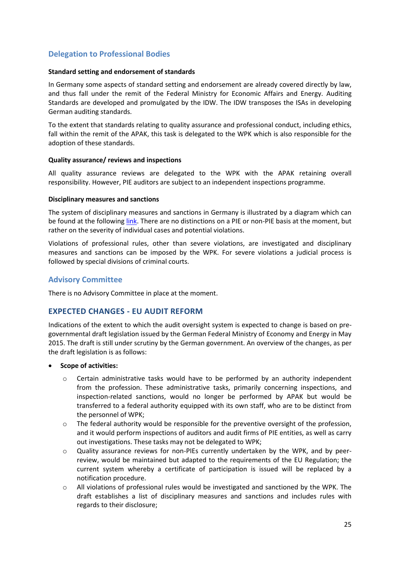# **Delegation to Professional Bodies**

#### **Standard setting and endorsement of standards**

In Germany some aspects of standard setting and endorsement are already covered directly by law, and thus fall under the remit of the Federal Ministry for Economic Affairs and Energy. Auditing Standards are developed and promulgated by the IDW. The IDW transposes the ISAs in developing German auditing standards.

To the extent that standards relating to quality assurance and professional conduct, including ethics, fall within the remit of the APAK, this task is delegated to the WPK which is also responsible for the adoption of these standards.

#### **Quality assurance/ reviews and inspections**

All quality assurance reviews are delegated to the WPK with the APAK retaining overall responsibility. However, PIE auditors are subject to an independent inspections programme.

#### **Disciplinary measures and sanctions**

The system of disciplinary measures and sanctions in Germany is illustrated by a diagram which can be found at the following [link.](http://www.apak-aoc.de/index.php/de/ueber-die-apak/prueferaufsicht/das-system-der-prueferaufsicht-in-deutschland) There are no distinctions on a PIE or non-PIE basis at the moment, but rather on the severity of individual cases and potential violations.

Violations of professional rules, other than severe violations, are investigated and disciplinary measures and sanctions can be imposed by the WPK. For severe violations a judicial process is followed by special divisions of criminal courts.

# **Advisory Committee**

There is no Advisory Committee in place at the moment.

# **EXPECTED CHANGES - EU AUDIT REFORM**

Indications of the extent to which the audit oversight system is expected to change is based on pregovernmental draft legislation issued by the German Federal Ministry of Economy and Energy in May 2015. The draft is still under scrutiny by the German government. An overview of the changes, as per the draft legislation is as follows:

- **Scope of activities:**
	- Certain administrative tasks would have to be performed by an authority independent from the profession. These administrative tasks, primarily concerning inspections, and inspection-related sanctions, would no longer be performed by APAK but would be transferred to a federal authority equipped with its own staff, who are to be distinct from the personnel of WPK;
	- $\circ$  The federal authority would be responsible for the preventive oversight of the profession, and it would perform inspections of auditors and audit firms of PIE entities, as well as carry out investigations. These tasks may not be delegated to WPK;
	- o Quality assurance reviews for non-PIEs currently undertaken by the WPK, and by peerreview, would be maintained but adapted to the requirements of the EU Regulation; the current system whereby a certificate of participation is issued will be replaced by a notification procedure.
	- o All violations of professional rules would be investigated and sanctioned by the WPK. The draft establishes a list of disciplinary measures and sanctions and includes rules with regards to their disclosure;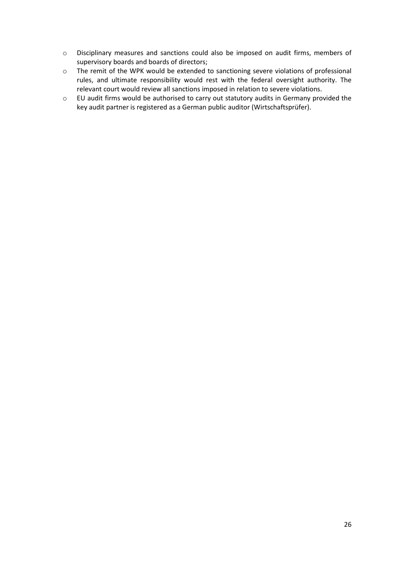- o Disciplinary measures and sanctions could also be imposed on audit firms, members of supervisory boards and boards of directors;
- o The remit of the WPK would be extended to sanctioning severe violations of professional rules, and ultimate responsibility would rest with the federal oversight authority. The relevant court would review all sanctions imposed in relation to severe violations.
- o EU audit firms would be authorised to carry out statutory audits in Germany provided the key audit partner is registered as a German public auditor (Wirtschaftsprüfer).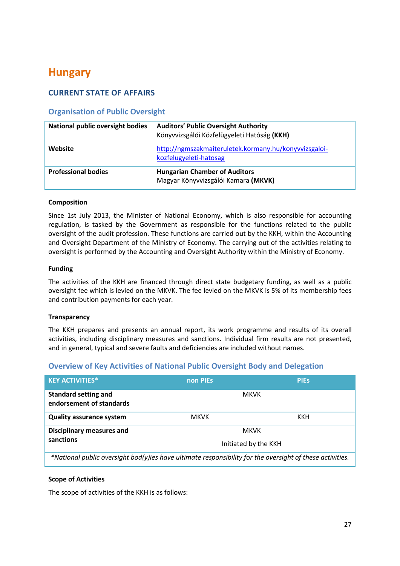# <span id="page-27-0"></span>**Hungary**

# **CURRENT STATE OF AFFAIRS**

# **Organisation of Public Oversight**

| <b>National public oversight bodies</b> | <b>Auditors' Public Oversight Authority</b><br>Könyvvizsgálói Közfelügyeleti Hatóság (KKH) |
|-----------------------------------------|--------------------------------------------------------------------------------------------|
| Website                                 | http://ngmszakmaiteruletek.kormany.hu/konyvvizsgaloi-<br>kozfelugyeleti-hatosag            |
| <b>Professional bodies</b>              | <b>Hungarian Chamber of Auditors</b><br>Magyar Könyvvizsgálói Kamara (MKVK)                |

### **Composition**

Since 1st July 2013, the Minister of National Economy, which is also responsible for accounting regulation, is tasked by the Government as responsible for the functions related to the public oversight of the audit profession. These functions are carried out by the KKH, within the Accounting and Oversight Department of the Ministry of Economy. The carrying out of the activities relating to oversight is performed by the Accounting and Oversight Authority within the Ministry of Economy.

### **Funding**

The activities of the KKH are financed through direct state budgetary funding, as well as a public oversight fee which is levied on the MKVK. The fee levied on the MKVK is 5% of its membership fees and contribution payments for each year.

### **Transparency**

The KKH prepares and presents an annual report, its work programme and results of its overall activities, including disciplinary measures and sanctions. Individual firm results are not presented, and in general, typical and severe faults and deficiencies are included without names.

# **Overview of Key Activities of National Public Oversight Body and Delegation**

| <b>KEY ACTIVITIES*</b>                                                                                     | non PIEs    | <b>PIES</b>          |
|------------------------------------------------------------------------------------------------------------|-------------|----------------------|
| <b>Standard setting and</b><br>endorsement of standards                                                    |             | <b>MKVK</b>          |
| <b>Quality assurance system</b>                                                                            | <b>MKVK</b> | KKH                  |
| <b>Disciplinary measures and</b>                                                                           |             | <b>MKVK</b>          |
| sanctions                                                                                                  |             | Initiated by the KKH |
| $*$ National public querciabt bod(u)ies have ultimate responsibility for the quersiabt of these astivities |             |                      |

*\*National public oversight bod(y)ies have ultimate responsibility for the oversight of these activities.*

### **Scope of Activities**

The scope of activities of the KKH is as follows: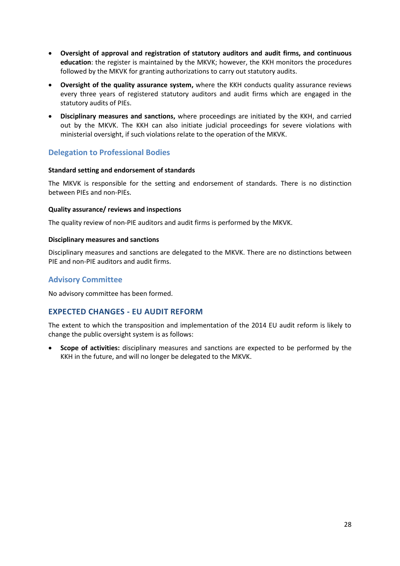- **Oversight of approval and registration of statutory auditors and audit firms, and continuous education**: the register is maintained by the MKVK; however, the KKH monitors the procedures followed by the MKVK for granting authorizations to carry out statutory audits.
- **Oversight of the quality assurance system,** where the KKH conducts quality assurance reviews every three years of registered statutory auditors and audit firms which are engaged in the statutory audits of PIEs.
- **Disciplinary measures and sanctions,** where proceedings are initiated by the KKH, and carried out by the MKVK. The KKH can also initiate judicial proceedings for severe violations with ministerial oversight, if such violations relate to the operation of the MKVK.

# **Delegation to Professional Bodies**

# **Standard setting and endorsement of standards**

The MKVK is responsible for the setting and endorsement of standards. There is no distinction between PIEs and non-PIEs.

# **Quality assurance/ reviews and inspections**

The quality review of non-PIE auditors and audit firms is performed by the MKVK.

# **Disciplinary measures and sanctions**

Disciplinary measures and sanctions are delegated to the MKVK. There are no distinctions between PIE and non-PIE auditors and audit firms.

# **Advisory Committee**

No advisory committee has been formed.

# **EXPECTED CHANGES - EU AUDIT REFORM**

The extent to which the transposition and implementation of the 2014 EU audit reform is likely to change the public oversight system is as follows:

 **Scope of activities:** disciplinary measures and sanctions are expected to be performed by the KKH in the future, and will no longer be delegated to the MKVK.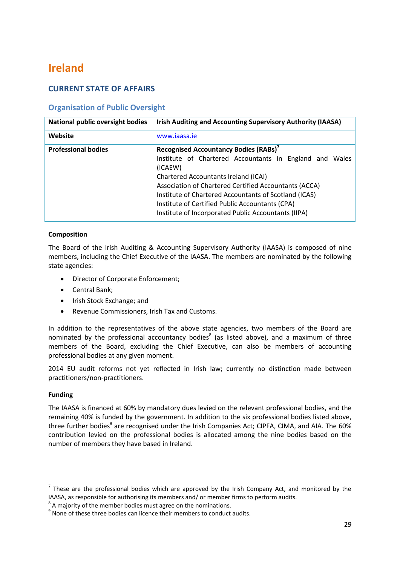# <span id="page-29-0"></span>**Ireland**

# **CURRENT STATE OF AFFAIRS**

# **Organisation of Public Oversight**

| <b>National public oversight bodies</b> | Irish Auditing and Accounting Supervisory Authority (IAASA)                                                                                                                                                                                                             |
|-----------------------------------------|-------------------------------------------------------------------------------------------------------------------------------------------------------------------------------------------------------------------------------------------------------------------------|
| Website                                 | www.iaasa.ie                                                                                                                                                                                                                                                            |
| <b>Professional bodies</b>              | Recognised Accountancy Bodies (RABs) <sup>7</sup><br>Institute of Chartered Accountants in England and Wales<br>(ICAEW)                                                                                                                                                 |
|                                         | <b>Chartered Accountants Ireland (ICAI)</b><br>Association of Chartered Certified Accountants (ACCA)<br>Institute of Chartered Accountants of Scotland (ICAS)<br>Institute of Certified Public Accountants (CPA)<br>Institute of Incorporated Public Accountants (IIPA) |

# **Composition**

The Board of the Irish Auditing & Accounting Supervisory Authority (IAASA) is composed of nine members, including the Chief Executive of the IAASA. The members are nominated by the following state agencies:

- Director of Corporate Enforcement;
- Central Bank;
- Irish Stock Exchange; and
- Revenue Commissioners, Irish Tax and Customs.

In addition to the representatives of the above state agencies, two members of the Board are nominated by the professional accountancy bodies<sup>8</sup> (as listed above), and a maximum of three members of the Board, excluding the Chief Executive, can also be members of accounting professional bodies at any given moment.

2014 EU audit reforms not yet reflected in Irish law; currently no distinction made between practitioners/non-practitioners.

### **Funding**

1

The IAASA is financed at 60% by mandatory dues levied on the relevant professional bodies, and the remaining 40% is funded by the government. In addition to the six professional bodies listed above, three further bodies<sup>9</sup> are recognised under the Irish Companies Act; CIPFA, CIMA, and AIA. The 60% contribution levied on the professional bodies is allocated among the nine bodies based on the number of members they have based in Ireland.

 $<sup>7</sup>$  These are the professional bodies which are approved by the Irish Company Act, and monitored by the</sup> IAASA, as responsible for authorising its members and/ or member firms to perform audits.

 $8$  A majority of the member bodies must agree on the nominations.

 $<sup>9</sup>$  None of these three bodies can licence their members to conduct audits.</sup>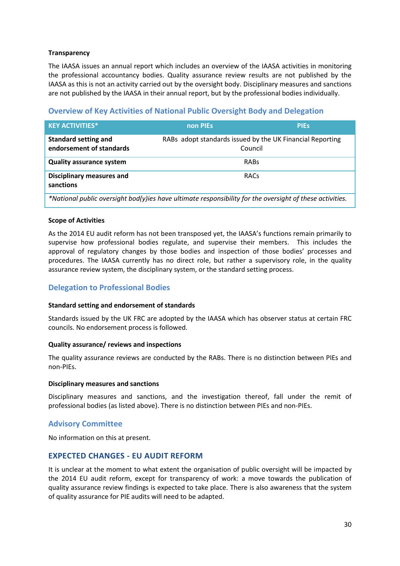# **Transparency**

The IAASA issues an annual report which includes an overview of the IAASA activities in monitoring the professional accountancy bodies. Quality assurance review results are not published by the IAASA as this is not an activity carried out by the oversight body. Disciplinary measures and sanctions are not published by the IAASA in their annual report, but by the professional bodies individually.

# **Overview of Key Activities of National Public Oversight Body and Delegation**

| <b>KEY ACTIVITIES*</b>                                                                                     | non PIEs                                                             | <b>PIES</b> |
|------------------------------------------------------------------------------------------------------------|----------------------------------------------------------------------|-------------|
| <b>Standard setting and</b><br>endorsement of standards                                                    | RABs adopt standards issued by the UK Financial Reporting<br>Council |             |
| <b>Quality assurance system</b>                                                                            | RABS                                                                 |             |
| <b>Disciplinary measures and</b><br>sanctions                                                              | RACs                                                                 |             |
| $*$ National public querciabt bod(u)ies have ultimate responsibility for the quersiabt of these astivities |                                                                      |             |

*\*National public oversight bod(y)ies have ultimate responsibility for the oversight of these activities.*

### **Scope of Activities**

As the 2014 EU audit reform has not been transposed yet, the IAASA's functions remain primarily to supervise how professional bodies regulate, and supervise their members. This includes the approval of regulatory changes by those bodies and inspection of those bodies' processes and procedures. The IAASA currently has no direct role, but rather a supervisory role, in the quality assurance review system, the disciplinary system, or the standard setting process.

# **Delegation to Professional Bodies**

### **Standard setting and endorsement of standards**

Standards issued by the UK FRC are adopted by the IAASA which has observer status at certain FRC councils. No endorsement process is followed.

### **Quality assurance/ reviews and inspections**

The quality assurance reviews are conducted by the RABs. There is no distinction between PIEs and non-PIEs.

### **Disciplinary measures and sanctions**

Disciplinary measures and sanctions, and the investigation thereof, fall under the remit of professional bodies (as listed above). There is no distinction between PIEs and non-PIEs.

# **Advisory Committee**

No information on this at present.

# **EXPECTED CHANGES - EU AUDIT REFORM**

It is unclear at the moment to what extent the organisation of public oversight will be impacted by the 2014 EU audit reform, except for transparency of work: a move towards the publication of quality assurance review findings is expected to take place. There is also awareness that the system of quality assurance for PIE audits will need to be adapted.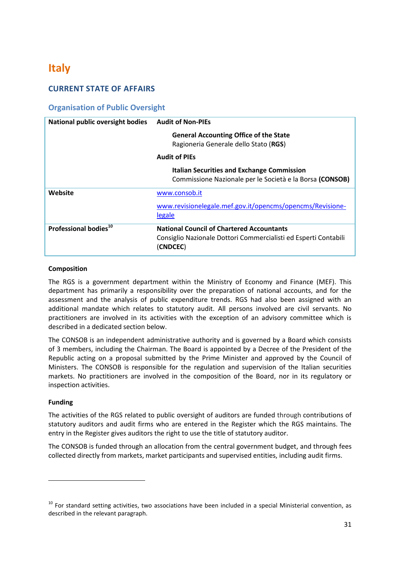# <span id="page-31-0"></span>**Italy**

# **CURRENT STATE OF AFFAIRS**

# **Organisation of Public Oversight**

| <b>National public oversight bodies</b> | <b>Audit of Non-PIEs</b>                                                                                                        |
|-----------------------------------------|---------------------------------------------------------------------------------------------------------------------------------|
|                                         | <b>General Accounting Office of the State</b><br>Ragioneria Generale dello Stato (RGS)                                          |
|                                         | <b>Audit of PIEs</b>                                                                                                            |
|                                         | <b>Italian Securities and Exchange Commission</b><br>Commissione Nazionale per le Società e la Borsa (CONSOB)                   |
| Website                                 | www.consob.it                                                                                                                   |
|                                         | www.revisionelegale.mef.gov.it/opencms/opencms/Revisione-<br>legale                                                             |
| Professional bodies <sup>10</sup>       | <b>National Council of Chartered Accountants</b><br>Consiglio Nazionale Dottori Commercialisti ed Esperti Contabili<br>(CNDCEC) |

# **Composition**

The RGS is a government department within the Ministry of Economy and Finance (MEF). This department has primarily a responsibility over the preparation of national accounts, and for the assessment and the analysis of public expenditure trends. RGS had also been assigned with an additional mandate which relates to statutory audit. All persons involved are civil servants. No practitioners are involved in its activities with the exception of an advisory committee which is described in a dedicated section below.

The CONSOB is an independent administrative authority and is governed by a Board which consists of 3 members, including the Chairman. The Board is appointed by a Decree of the President of the Republic acting on a proposal submitted by the Prime Minister and approved by the Council of Ministers. The CONSOB is responsible for the regulation and supervision of the Italian securities markets. No practitioners are involved in the composition of the Board, nor in its regulatory or inspection activities.

# **Funding**

 $\overline{a}$ 

The activities of the RGS related to public oversight of auditors are funded through contributions of statutory auditors and audit firms who are entered in the Register which the RGS maintains. The entry in the Register gives auditors the right to use the title of statutory auditor.

The CONSOB is funded through an allocation from the central government budget, and through fees collected directly from markets, market participants and supervised entities, including audit firms.

 $10$  For standard setting activities, two associations have been included in a special Ministerial convention, as described in the relevant paragraph.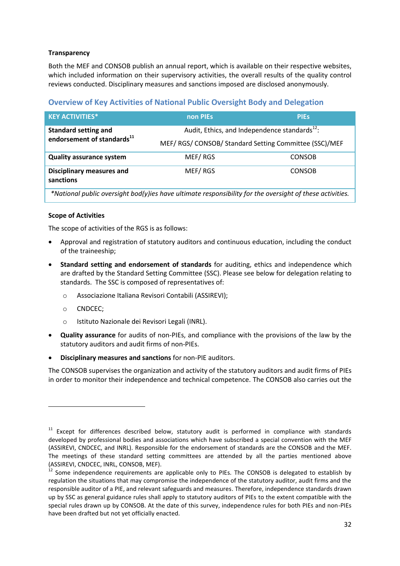# **Transparency**

Both the MEF and CONSOB publish an annual report, which is available on their respective websites, which included information on their supervisory activities, the overall results of the quality control reviews conducted. Disciplinary measures and sanctions imposed are disclosed anonymously.

# **Overview of Key Activities of National Public Oversight Body and Delegation**

| <b>KEY ACTIVITIES*</b>                                                                                   | non PIEs                                                  | <b>PIES</b>   |
|----------------------------------------------------------------------------------------------------------|-----------------------------------------------------------|---------------|
| <b>Standard setting and</b>                                                                              | Audit, Ethics, and Independence standards <sup>12</sup> : |               |
| endorsement of standards <sup>11</sup>                                                                   | MEF/ RGS/ CONSOB/ Standard Setting Committee (SSC)/MEF    |               |
| <b>Quality assurance system</b>                                                                          | MEF/RGS                                                   | <b>CONSOB</b> |
| <b>Disciplinary measures and</b><br>sanctions                                                            | MEF/RGS                                                   | <b>CONSOB</b> |
| *National public oversight bod(y)ies have ultimate responsibility for the oversight of these activities. |                                                           |               |

# **Scope of Activities**

The scope of activities of the RGS is as follows:

- Approval and registration of statutory auditors and continuous education, including the conduct of the traineeship;
- **Standard setting and endorsement of standards** for auditing, ethics and independence which are drafted by the Standard Setting Committee (SSC). Please see below for delegation relating to standards. The SSC is composed of representatives of:
	- o Associazione Italiana Revisori Contabili (ASSIREVI);
	- o CNDCEC;

1

- o Istituto Nazionale dei Revisori Legali (INRL).
- **Quality assurance** for audits of non-PIEs, and compliance with the provisions of the law by the statutory auditors and audit firms of non-PIEs.
- **Disciplinary measures and sanctions** for non-PIE auditors.

The CONSOB supervises the organization and activity of the statutory auditors and audit firms of PIEs in order to monitor their independence and technical competence. The CONSOB also carries out the

 $11$  Except for differences described below, statutory audit is performed in compliance with standards developed by professional bodies and associations which have subscribed a special convention with the MEF (ASSIREVI, CNDCEC, and INRL). Responsible for the endorsement of standards are the CONSOB and the MEF. The meetings of these standard setting committees are attended by all the parties mentioned above (ASSIREVI, CNDCEC, INRL, CONSOB, MEF).

 $12$  Some independence requirements are applicable only to PIEs. The CONSOB is delegated to establish by regulation the situations that may compromise the independence of the statutory auditor, audit firms and the responsible auditor of a PIE, and relevant safeguards and measures. Therefore, independence standards drawn up by SSC as general guidance rules shall apply to statutory auditors of PIEs to the extent compatible with the special rules drawn up by CONSOB. At the date of this survey, independence rules for both PIEs and non-PIEs have been drafted but not yet officially enacted.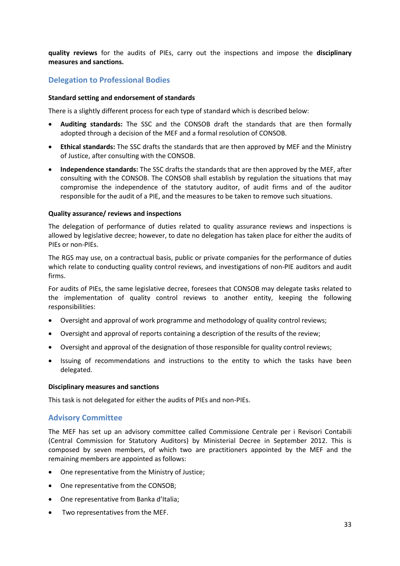**quality reviews** for the audits of PIEs, carry out the inspections and impose the **disciplinary measures and sanctions.** 

# **Delegation to Professional Bodies**

#### **Standard setting and endorsement of standards**

There is a slightly different process for each type of standard which is described below:

- **Auditing standards:** The SSC and the CONSOB draft the standards that are then formally adopted through a decision of the MEF and a formal resolution of CONSOB.
- **Ethical standards:** The SSC drafts the standards that are then approved by MEF and the Ministry of Justice, after consulting with the CONSOB.
- **Independence standards:** The SSC drafts the standards that are then approved by the MEF, after consulting with the CONSOB. The CONSOB shall establish by regulation the situations that may compromise the independence of the statutory auditor, of audit firms and of the auditor responsible for the audit of a PIE, and the measures to be taken to remove such situations.

#### **Quality assurance/ reviews and inspections**

The delegation of performance of duties related to quality assurance reviews and inspections is allowed by legislative decree; however, to date no delegation has taken place for either the audits of PIEs or non-PIEs.

The RGS may use, on a contractual basis, public or private companies for the performance of duties which relate to conducting quality control reviews, and investigations of non-PIE auditors and audit firms.

For audits of PIEs, the same legislative decree, foresees that CONSOB may delegate tasks related to the implementation of quality control reviews to another entity, keeping the following responsibilities:

- Oversight and approval of work programme and methodology of quality control reviews;
- Oversight and approval of reports containing a description of the results of the review;
- Oversight and approval of the designation of those responsible for quality control reviews;
- Issuing of recommendations and instructions to the entity to which the tasks have been delegated.

#### **Disciplinary measures and sanctions**

This task is not delegated for either the audits of PIEs and non-PIEs.

### **Advisory Committee**

The MEF has set up an advisory committee called Commissione Centrale per i Revisori Contabili (Central Commission for Statutory Auditors) by Ministerial Decree in September 2012. This is composed by seven members, of which two are practitioners appointed by the MEF and the remaining members are appointed as follows:

- One representative from the Ministry of Justice;
- One representative from the CONSOB;
- One representative from Banka d'Italia;
- Two representatives from the MEF.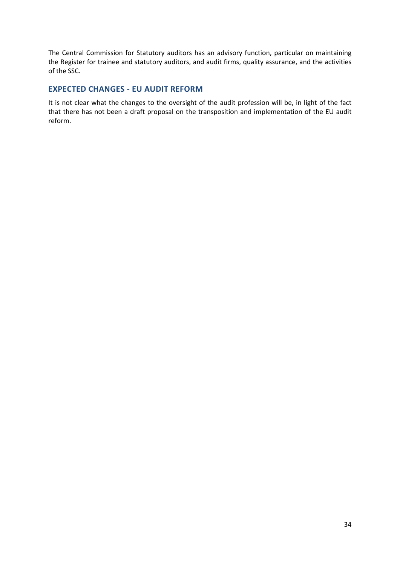The Central Commission for Statutory auditors has an advisory function, particular on maintaining the Register for trainee and statutory auditors, and audit firms, quality assurance, and the activities of the SSC.

# **EXPECTED CHANGES - EU AUDIT REFORM**

It is not clear what the changes to the oversight of the audit profession will be, in light of the fact that there has not been a draft proposal on the transposition and implementation of the EU audit reform.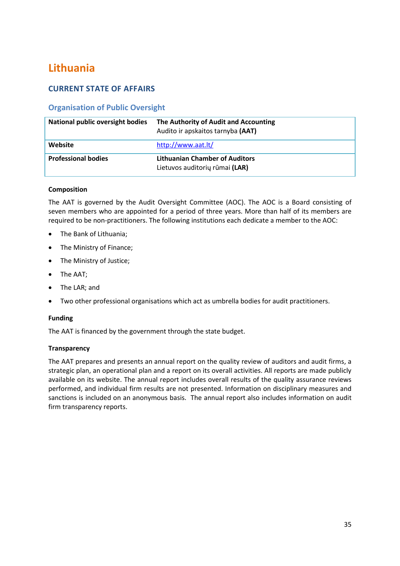# <span id="page-35-0"></span>**Lithuania**

# **CURRENT STATE OF AFFAIRS**

# **Organisation of Public Oversight**

| <b>National public oversight bodies</b> | The Authority of Audit and Accounting<br>Audito ir apskaitos tarnyba (AAT) |
|-----------------------------------------|----------------------------------------------------------------------------|
| Website                                 | http://www.aat.lt/                                                         |
| <b>Professional bodies</b>              | <b>Lithuanian Chamber of Auditors</b><br>Lietuvos auditorių rūmai (LAR)    |

# **Composition**

The AAT is governed by the Audit Oversight Committee (AOC). The AOC is a Board consisting of seven members who are appointed for a period of three years. More than half of its members are required to be non-practitioners. The following institutions each dedicate a member to the AOC:

- The Bank of Lithuania;
- The Ministry of Finance;
- The Ministry of Justice;
- The AAT;
- The LAR; and
- Two other professional organisations which act as umbrella bodies for audit practitioners.

### **Funding**

The AAT is financed by the government through the state budget.

### **Transparency**

The AAT prepares and presents an annual report on the quality review of auditors and audit firms, a strategic plan, an operational plan and a report on its overall activities. All reports are made publicly available on its website. The annual report includes overall results of the quality assurance reviews performed, and individual firm results are not presented. Information on disciplinary measures and sanctions is included on an anonymous basis. The annual report also includes information on audit firm transparency reports.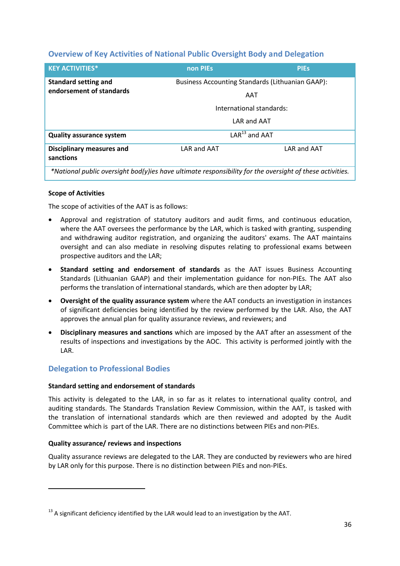# **Overview of Key Activities of National Public Oversight Body and Delegation**

| <b>KEY ACTIVITIES*</b>                                                                                   | non PIEs    | <b>PIES</b>                                             |
|----------------------------------------------------------------------------------------------------------|-------------|---------------------------------------------------------|
| <b>Standard setting and</b><br>endorsement of standards                                                  |             | <b>Business Accounting Standards (Lithuanian GAAP):</b> |
|                                                                                                          |             | AAT                                                     |
|                                                                                                          |             | International standards:                                |
|                                                                                                          |             | LAR and AAT                                             |
| <b>Quality assurance system</b>                                                                          |             | $LAR13$ and AAT                                         |
| <b>Disciplinary measures and</b><br>sanctions                                                            | LAR and AAT | LAR and AAT                                             |
| *National public oversight bod(y)ies have ultimate responsibility for the oversight of these activities. |             |                                                         |

## **Scope of Activities**

The scope of activities of the AAT is as follows:

- Approval and registration of statutory auditors and audit firms, and continuous education, where the AAT oversees the performance by the LAR, which is tasked with granting, suspending and withdrawing auditor registration, and organizing the auditors' exams. The AAT maintains oversight and can also mediate in resolving disputes relating to professional exams between prospective auditors and the LAR;
- **Standard setting and endorsement of standards** as the AAT issues Business Accounting Standards (Lithuanian GAAP) and their implementation guidance for non-PIEs. The AAT also performs the translation of international standards, which are then adopter by LAR;
- **Oversight of the quality assurance system** where the AAT conducts an investigation in instances of significant deficiencies being identified by the review performed by the LAR. Also, the AAT approves the annual plan for quality assurance reviews, and reviewers; and
- **Disciplinary measures and sanctions** which are imposed by the AAT after an assessment of the results of inspections and investigations by the AOC. This activity is performed jointly with the LAR.

# **Delegation to Professional Bodies**

#### **Standard setting and endorsement of standards**

This activity is delegated to the LAR, in so far as it relates to international quality control, and auditing standards. The Standards Translation Review Commission, within the AAT, is tasked with the translation of international standards which are then reviewed and adopted by the Audit Committee which is part of the LAR. There are no distinctions between PIEs and non-PIEs.

## **Quality assurance/ reviews and inspections**

**.** 

Quality assurance reviews are delegated to the LAR. They are conducted by reviewers who are hired by LAR only for this purpose. There is no distinction between PIEs and non-PIEs.

 $13$  A significant deficiency identified by the LAR would lead to an investigation by the AAT.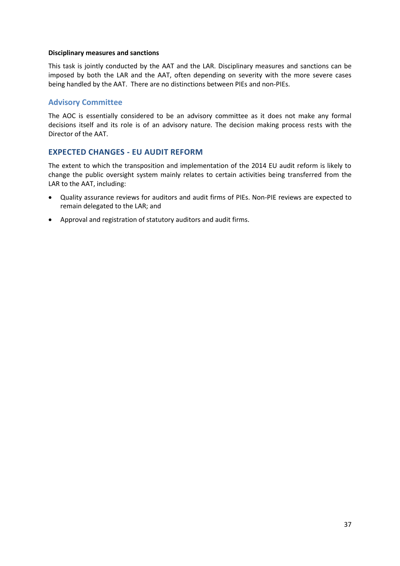#### **Disciplinary measures and sanctions**

This task is jointly conducted by the AAT and the LAR. Disciplinary measures and sanctions can be imposed by both the LAR and the AAT, often depending on severity with the more severe cases being handled by the AAT. There are no distinctions between PIEs and non-PIEs.

## **Advisory Committee**

The AOC is essentially considered to be an advisory committee as it does not make any formal decisions itself and its role is of an advisory nature. The decision making process rests with the Director of the AAT.

## **EXPECTED CHANGES - EU AUDIT REFORM**

The extent to which the transposition and implementation of the 2014 EU audit reform is likely to change the public oversight system mainly relates to certain activities being transferred from the LAR to the AAT, including:

- Quality assurance reviews for auditors and audit firms of PIEs. Non-PIE reviews are expected to remain delegated to the LAR; and
- Approval and registration of statutory auditors and audit firms.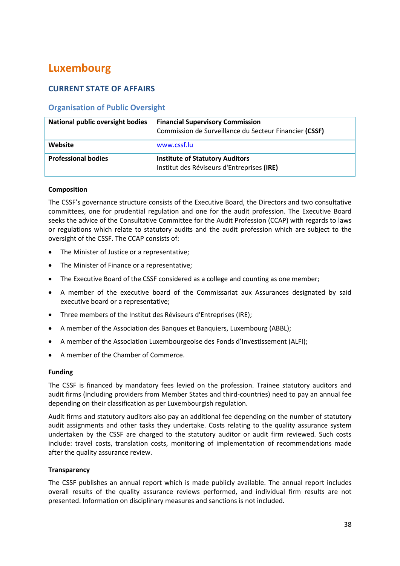# **Luxembourg**

# **CURRENT STATE OF AFFAIRS**

# **Organisation of Public Oversight**

| National public oversight bodies | <b>Financial Supervisory Commission</b><br>Commission de Surveillance du Secteur Financier (CSSF) |
|----------------------------------|---------------------------------------------------------------------------------------------------|
| Website                          | www.cssf.lu                                                                                       |
| <b>Professional bodies</b>       | <b>Institute of Statutory Auditors</b><br>Institut des Réviseurs d'Entreprises (IRE)              |

#### **Composition**

The CSSF's governance structure consists of the Executive Board, the Directors and two consultative committees, one for prudential regulation and one for the audit profession. The Executive Board seeks the advice of the Consultative Committee for the Audit Profession (CCAP) with regards to laws or regulations which relate to statutory audits and the audit profession which are subject to the oversight of the CSSF. The CCAP consists of:

- The Minister of Justice or a representative;
- The Minister of Finance or a representative;
- The Executive Board of the CSSF considered as a college and counting as one member;
- A member of the executive board of the Commissariat aux Assurances designated by said executive board or a representative;
- Three members of the Institut des Réviseurs d'Entreprises (IRE);
- A member of the Association des Banques et Banquiers, Luxembourg (ABBL);
- A member of the Association Luxembourgeoise des Fonds d'Investissement (ALFI);
- A member of the Chamber of Commerce.

#### **Funding**

The CSSF is financed by mandatory fees levied on the profession. Trainee statutory auditors and audit firms (including providers from Member States and third-countries) need to pay an annual fee depending on their classification as per Luxembourgish regulation.

Audit firms and statutory auditors also pay an additional fee depending on the number of statutory audit assignments and other tasks they undertake. Costs relating to the quality assurance system undertaken by the CSSF are charged to the statutory auditor or audit firm reviewed. Such costs include: travel costs, translation costs, monitoring of implementation of recommendations made after the quality assurance review.

#### **Transparency**

The CSSF publishes an annual report which is made publicly available. The annual report includes overall results of the quality assurance reviews performed, and individual firm results are not presented. Information on disciplinary measures and sanctions is not included.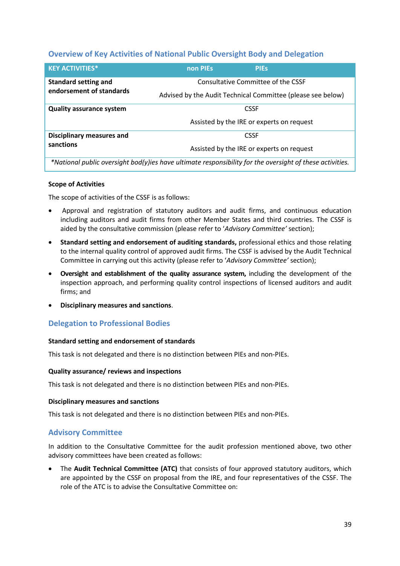# **Overview of Key Activities of National Public Oversight Body and Delegation**

| <b>KEY ACTIVITIES*</b>                                                                                   | non PIEs                                                    | <b>PIES</b>                                              |  |
|----------------------------------------------------------------------------------------------------------|-------------------------------------------------------------|----------------------------------------------------------|--|
| <b>Standard setting and</b><br>endorsement of standards                                                  | Advised by the Audit Technical Committee (please see below) | Consultative Committee of the CSSF                       |  |
| <b>Quality assurance system</b>                                                                          |                                                             | <b>CSSF</b><br>Assisted by the IRE or experts on request |  |
| <b>Disciplinary measures and</b><br>sanctions                                                            |                                                             | <b>CSSF</b><br>Assisted by the IRE or experts on request |  |
| *National public oversight bod(y)ies have ultimate responsibility for the oversight of these activities. |                                                             |                                                          |  |

#### **Scope of Activities**

The scope of activities of the CSSF is as follows:

- Approval and registration of statutory auditors and audit firms, and continuous education including auditors and audit firms from other Member States and third countries. The CSSF is aided by the consultative commission (please refer to '*Advisory Committee'* section);
- **Standard setting and endorsement of auditing standards,** professional ethics and those relating to the internal quality control of approved audit firms. The CSSF is advised by the Audit Technical Committee in carrying out this activity (please refer to '*Advisory Committee'* section);
- **Oversight and establishment of the quality assurance system,** including the development of the inspection approach, and performing quality control inspections of licensed auditors and audit firms; and
- **Disciplinary measures and sanctions**.

# **Delegation to Professional Bodies**

#### **Standard setting and endorsement of standards**

This task is not delegated and there is no distinction between PIEs and non-PIEs.

#### **Quality assurance/ reviews and inspections**

This task is not delegated and there is no distinction between PIEs and non-PIEs.

#### **Disciplinary measures and sanctions**

This task is not delegated and there is no distinction between PIEs and non-PIEs.

## **Advisory Committee**

In addition to the Consultative Committee for the audit profession mentioned above, two other advisory committees have been created as follows:

 The **Audit Technical Committee (ATC)** that consists of four approved statutory auditors, which are appointed by the CSSF on proposal from the IRE, and four representatives of the CSSF. The role of the ATC is to advise the Consultative Committee on: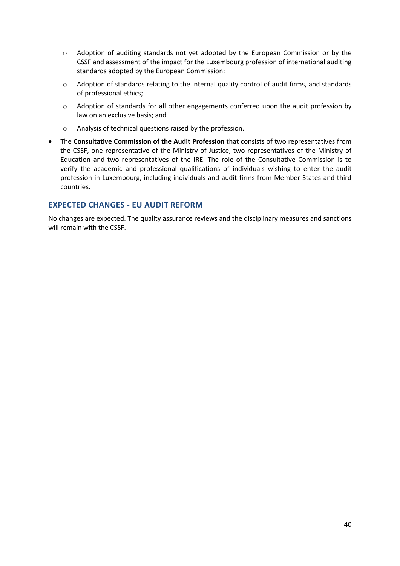- o Adoption of auditing standards not yet adopted by the European Commission or by the CSSF and assessment of the impact for the Luxembourg profession of international auditing standards adopted by the European Commission;
- o Adoption of standards relating to the internal quality control of audit firms, and standards of professional ethics;
- o Adoption of standards for all other engagements conferred upon the audit profession by law on an exclusive basis; and
- o Analysis of technical questions raised by the profession.
- The **Consultative Commission of the Audit Profession** that consists of two representatives from the CSSF, one representative of the Ministry of Justice, two representatives of the Ministry of Education and two representatives of the IRE. The role of the Consultative Commission is to verify the academic and professional qualifications of individuals wishing to enter the audit profession in Luxembourg, including individuals and audit firms from Member States and third countries.

## **EXPECTED CHANGES - EU AUDIT REFORM**

No changes are expected. The quality assurance reviews and the disciplinary measures and sanctions will remain with the CSSF.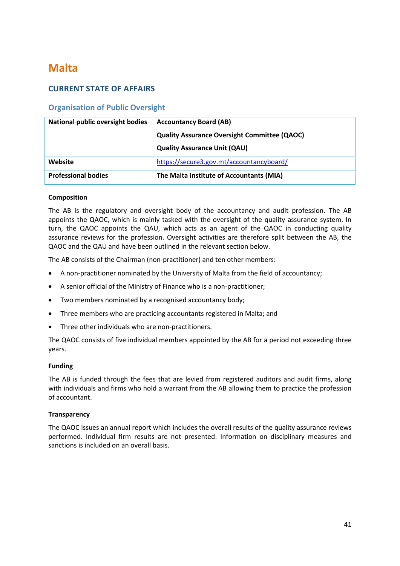# **Malta**

# **CURRENT STATE OF AFFAIRS**

# **Organisation of Public Oversight**

| <b>National public oversight bodies</b> | <b>Accountancy Board (AB)</b>                       |
|-----------------------------------------|-----------------------------------------------------|
|                                         | <b>Quality Assurance Oversight Committee (QAOC)</b> |
|                                         | <b>Quality Assurance Unit (QAU)</b>                 |
| Website                                 | https://secure3.gov.mt/accountancyboard/            |
| <b>Professional bodies</b>              | The Malta Institute of Accountants (MIA)            |

#### **Composition**

The AB is the regulatory and oversight body of the accountancy and audit profession. The AB appoints the QAOC, which is mainly tasked with the oversight of the quality assurance system. In turn, the QAOC appoints the QAU, which acts as an agent of the QAOC in conducting quality assurance reviews for the profession. Oversight activities are therefore split between the AB, the QAOC and the QAU and have been outlined in the relevant section below.

The AB consists of the Chairman (non-practitioner) and ten other members:

- A non-practitioner nominated by the University of Malta from the field of accountancy;
- A senior official of the Ministry of Finance who is a non-practitioner;
- Two members nominated by a recognised accountancy body;
- Three members who are practicing accountants registered in Malta; and
- Three other individuals who are non-practitioners.

The QAOC consists of five individual members appointed by the AB for a period not exceeding three years.

#### **Funding**

The AB is funded through the fees that are levied from registered auditors and audit firms, along with individuals and firms who hold a warrant from the AB allowing them to practice the profession of accountant.

#### **Transparency**

The QAOC issues an annual report which includes the overall results of the quality assurance reviews performed. Individual firm results are not presented. Information on disciplinary measures and sanctions is included on an overall basis.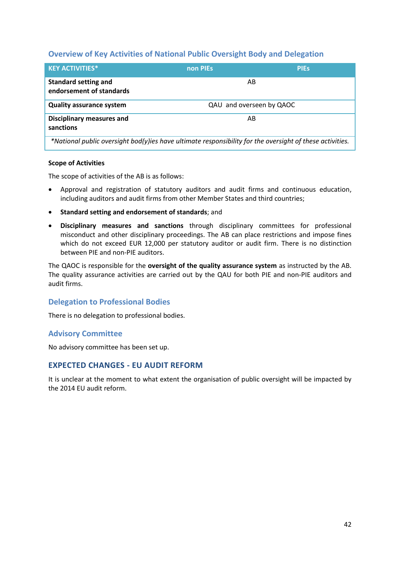## **Overview of Key Activities of National Public Oversight Body and Delegation**

| <b>KEY ACTIVITIES*</b>                                                                                   | non PIEs                 | <b>PIES</b> |
|----------------------------------------------------------------------------------------------------------|--------------------------|-------------|
| <b>Standard setting and</b><br>endorsement of standards                                                  | AB                       |             |
| <b>Quality assurance system</b>                                                                          | QAU and overseen by QAOC |             |
| <b>Disciplinary measures and</b><br>sanctions                                                            | AB                       |             |
| *National public oversight bod(y)ies have ultimate responsibility for the oversight of these activities. |                          |             |

#### **Scope of Activities**

The scope of activities of the AB is as follows:

- Approval and registration of statutory auditors and audit firms and continuous education, including auditors and audit firms from other Member States and third countries;
- **Standard setting and endorsement of standards**; and
- **Disciplinary measures and sanctions** through disciplinary committees for professional misconduct and other disciplinary proceedings. The AB can place restrictions and impose fines which do not exceed EUR 12,000 per statutory auditor or audit firm. There is no distinction between PIE and non-PIE auditors.

The QAOC is responsible for the **oversight of the quality assurance system** as instructed by the AB. The quality assurance activities are carried out by the QAU for both PIE and non-PIE auditors and audit firms.

## **Delegation to Professional Bodies**

There is no delegation to professional bodies.

#### **Advisory Committee**

No advisory committee has been set up.

## **EXPECTED CHANGES - EU AUDIT REFORM**

It is unclear at the moment to what extent the organisation of public oversight will be impacted by the 2014 EU audit reform.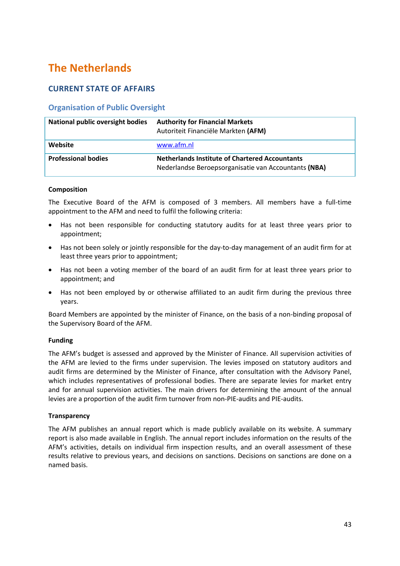# **The Netherlands**

# **CURRENT STATE OF AFFAIRS**

# **Organisation of Public Oversight**

| <b>National public oversight bodies</b> | <b>Authority for Financial Markets</b><br>Autoriteit Financiële Markten (AFM)                                 |
|-----------------------------------------|---------------------------------------------------------------------------------------------------------------|
| Website                                 | www.afm.nl                                                                                                    |
| <b>Professional bodies</b>              | <b>Netherlands Institute of Chartered Accountants</b><br>Nederlandse Beroepsorganisatie van Accountants (NBA) |

## **Composition**

The Executive Board of the AFM is composed of 3 members. All members have a full-time appointment to the AFM and need to fulfil the following criteria:

- Has not been responsible for conducting statutory audits for at least three years prior to appointment;
- Has not been solely or jointly responsible for the day-to-day management of an audit firm for at least three years prior to appointment;
- Has not been a voting member of the board of an audit firm for at least three years prior to appointment; and
- Has not been employed by or otherwise affiliated to an audit firm during the previous three years.

Board Members are appointed by the minister of Finance, on the basis of a non-binding proposal of the Supervisory Board of the AFM.

## **Funding**

The AFM's budget is assessed and approved by the Minister of Finance. All supervision activities of the AFM are levied to the firms under supervision. The levies imposed on statutory auditors and audit firms are determined by the Minister of Finance, after consultation with the Advisory Panel, which includes representatives of professional bodies. There are separate levies for market entry and for annual supervision activities. The main drivers for determining the amount of the annual levies are a proportion of the audit firm turnover from non-PIE-audits and PIE-audits.

## **Transparency**

The AFM publishes an annual report which is made publicly available on its website. A summary report is also made available in English. The annual report includes information on the results of the AFM's activities, details on individual firm inspection results, and an overall assessment of these results relative to previous years, and decisions on sanctions. Decisions on sanctions are done on a named basis.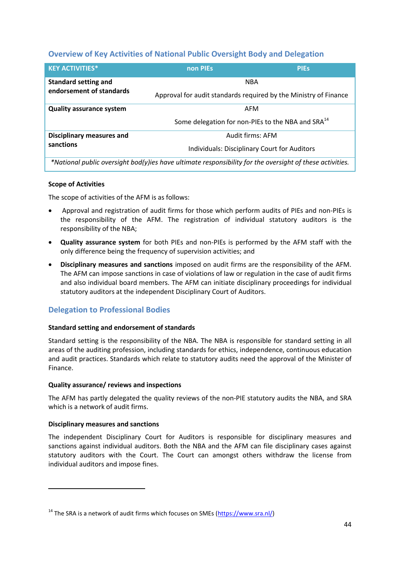# **Overview of Key Activities of National Public Oversight Body and Delegation**

| <b>KEY ACTIVITIES*</b>           | non PIEs                                                                                                 | <b>PIEs</b> |
|----------------------------------|----------------------------------------------------------------------------------------------------------|-------------|
| <b>Standard setting and</b>      | <b>NBA</b>                                                                                               |             |
| endorsement of standards         | Approval for audit standards required by the Ministry of Finance                                         |             |
| <b>Quality assurance system</b>  | AFM                                                                                                      |             |
|                                  | Some delegation for non-PIEs to the NBA and SRA <sup>14</sup>                                            |             |
| <b>Disciplinary measures and</b> | Audit firms: AFM                                                                                         |             |
| sanctions                        | Individuals: Disciplinary Court for Auditors                                                             |             |
|                                  | *National public oversight bod(y)ies have ultimate responsibility for the oversight of these activities. |             |

#### **Scope of Activities**

The scope of activities of the AFM is as follows:

- Approval and registration of audit firms for those which perform audits of PIEs and non-PIEs is the responsibility of the AFM. The registration of individual statutory auditors is the responsibility of the NBA;
- **Quality assurance system** for both PIEs and non-PIEs is performed by the AFM staff with the only difference being the frequency of supervision activities; and
- **Disciplinary measures and sanctions** imposed on audit firms are the responsibility of the AFM. The AFM can impose sanctions in case of violations of law or regulation in the case of audit firms and also individual board members. The AFM can initiate disciplinary proceedings for individual statutory auditors at the independent Disciplinary Court of Auditors.

# **Delegation to Professional Bodies**

#### **Standard setting and endorsement of standards**

Standard setting is the responsibility of the NBA. The NBA is responsible for standard setting in all areas of the auditing profession, including standards for ethics, independence, continuous education and audit practices. Standards which relate to statutory audits need the approval of the Minister of Finance.

#### **Quality assurance/ reviews and inspections**

The AFM has partly delegated the quality reviews of the non-PIE statutory audits the NBA, and SRA which is a network of audit firms.

#### **Disciplinary measures and sanctions**

**.** 

The independent Disciplinary Court for Auditors is responsible for disciplinary measures and sanctions against individual auditors. Both the NBA and the AFM can file disciplinary cases against statutory auditors with the Court. The Court can amongst others withdraw the license from individual auditors and impose fines.

 $14$  The SRA is a network of audit firms which focuses on SMEs [\(https://www.sra.nl/\)](https://www.sra.nl/)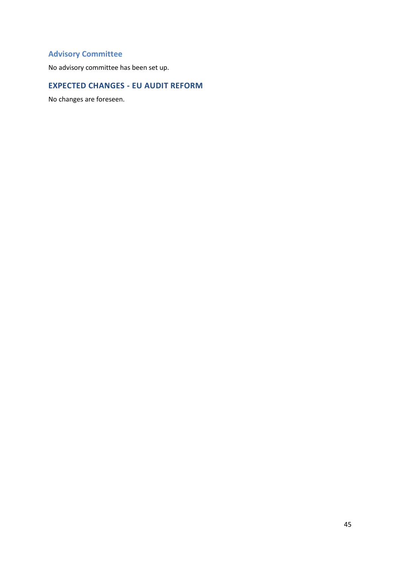# **Advisory Committee**

No advisory committee has been set up.

# **EXPECTED CHANGES - EU AUDIT REFORM**

No changes are foreseen.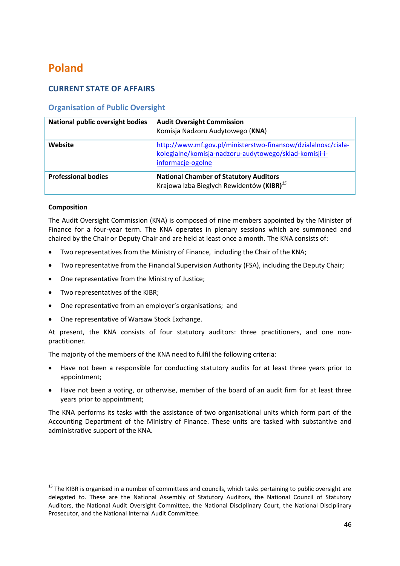# **Poland**

# **CURRENT STATE OF AFFAIRS**

# **Organisation of Public Oversight**

| <b>National public oversight bodies</b> | <b>Audit Oversight Commission</b><br>Komisja Nadzoru Audytowego (KNA)                                                                        |
|-----------------------------------------|----------------------------------------------------------------------------------------------------------------------------------------------|
| Website                                 | http://www.mf.gov.pl/ministerstwo-finansow/dzialalnosc/ciala-<br>kolegialne/komisja-nadzoru-audytowego/sklad-komisji-i-<br>informacje-ogolne |
| <b>Professional bodies</b>              | <b>National Chamber of Statutory Auditors</b><br>Krajowa Izba Biegłych Rewidentów (KIBR) <sup>15</sup>                                       |

## **Composition**

1

The Audit Oversight Commission (KNA) is composed of nine members appointed by the Minister of Finance for a four-year term. The KNA operates in plenary sessions which are summoned and chaired by the Chair or Deputy Chair and are held at least once a month. The KNA consists of:

- Two representatives from the Ministry of Finance, including the Chair of the KNA;
- Two representative from the Financial Supervision Authority (FSA), including the Deputy Chair;
- One representative from the Ministry of Justice;
- Two representatives of the KIBR;
- One representative from an employer's organisations; and
- One representative of Warsaw Stock Exchange.

At present, the KNA consists of four statutory auditors: three practitioners, and one nonpractitioner.

The majority of the members of the KNA need to fulfil the following criteria:

- Have not been a responsible for conducting statutory audits for at least three years prior to appointment;
- Have not been a voting, or otherwise, member of the board of an audit firm for at least three years prior to appointment;

The KNA performs its tasks with the assistance of two organisational units which form part of the Accounting Department of the Ministry of Finance. These units are tasked with substantive and administrative support of the KNA.

<sup>&</sup>lt;sup>15</sup> The KIBR is organised in a number of committees and councils, which tasks pertaining to public oversight are delegated to. These are the National Assembly of Statutory Auditors, the National Council of Statutory Auditors, the National Audit Oversight Committee, the National Disciplinary Court, the National Disciplinary Prosecutor, and the National Internal Audit Committee.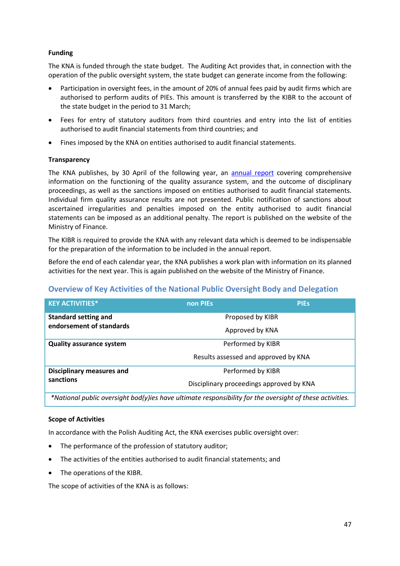## **Funding**

The KNA is funded through the state budget. The Auditing Act provides that, in connection with the operation of the public oversight system, the state budget can generate income from the following:

- Participation in oversight fees, in the amount of 20% of annual fees paid by audit firms which are authorised to perform audits of PIEs. This amount is transferred by the KIBR to the account of the state budget in the period to 31 March;
- Fees for entry of statutory auditors from third countries and entry into the list of entities authorised to audit financial statements from third countries; and
- Fines imposed by the KNA on entities authorised to audit financial statements.

## **Transparency**

The KNA publishes, by 30 April of the following year, an [annual report](http://www.mf.gov.pl/ministerstwo-finansow/dzialalnosc/ciala-kolegialne/komisja-nadzoru-audytowego/sprawozdania) covering comprehensive information on the functioning of the quality assurance system, and the outcome of disciplinary proceedings, as well as the sanctions imposed on entities authorised to audit financial statements. Individual firm quality assurance results are not presented. Public notification of sanctions about ascertained irregularities and penalties imposed on the entity authorised to audit financial statements can be imposed as an additional penalty. The report is published on the website of the Ministry of Finance.

The KIBR is required to provide the KNA with any relevant data which is deemed to be indispensable for the preparation of the information to be included in the annual report.

Before the end of each calendar year, the KNA publishes a work plan with information on its planned activities for the next year. This is again published on the website of the Ministry of Finance.

# **Overview of Key Activities of the National Public Oversight Body and Delegation**

| non PIEs | <b>PIES</b>                              |
|----------|------------------------------------------|
|          | Proposed by KIBR                         |
|          | Approved by KNA                          |
|          | Performed by KIBR                        |
|          | Results assessed and approved by KNA     |
|          | Performed by KIBR                        |
|          | Disciplinary proceedings approved by KNA |
|          |                                          |

*\*National public oversight bod(y)ies have ultimate responsibility for the oversight of these activities.*

#### **Scope of Activities**

In accordance with the Polish Auditing Act, the KNA exercises public oversight over:

- The performance of the profession of statutory auditor;
- The activities of the entities authorised to audit financial statements; and
- The operations of the KIBR.

The scope of activities of the KNA is as follows: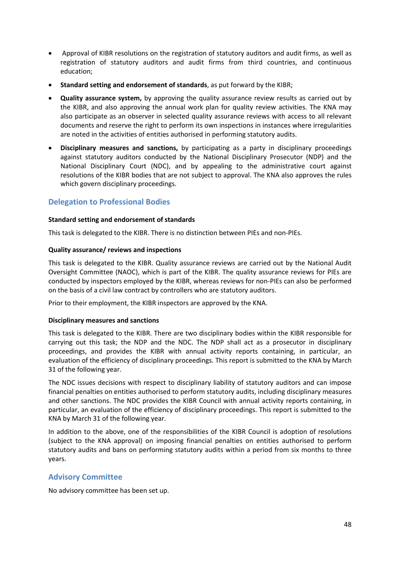- Approval of KIBR resolutions on the registration of statutory auditors and audit firms, as well as registration of statutory auditors and audit firms from third countries, and continuous education;
- **Standard setting and endorsement of standards**, as put forward by the KIBR;
- **Quality assurance system,** by approving the quality assurance review results as carried out by the KIBR, and also approving the annual work plan for quality review activities. The KNA may also participate as an observer in selected quality assurance reviews with access to all relevant documents and reserve the right to perform its own inspections in instances where irregularities are noted in the activities of entities authorised in performing statutory audits.
- **Disciplinary measures and sanctions,** by participating as a party in disciplinary proceedings against statutory auditors conducted by the National Disciplinary Prosecutor (NDP) and the National Disciplinary Court (NDC), and by appealing to the administrative court against resolutions of the KIBR bodies that are not subject to approval. The KNA also approves the rules which govern disciplinary proceedings.

# **Delegation to Professional Bodies**

#### **Standard setting and endorsement of standards**

This task is delegated to the KIBR. There is no distinction between PIEs and non-PIEs.

#### **Quality assurance/ reviews and inspections**

This task is delegated to the KIBR. Quality assurance reviews are carried out by the National Audit Oversight Committee (NAOC), which is part of the KIBR. The quality assurance reviews for PIEs are conducted by inspectors employed by the KIBR, whereas reviews for non-PIEs can also be performed on the basis of a civil law contract by controllers who are statutory auditors.

Prior to their employment, the KIBR inspectors are approved by the KNA.

#### **Disciplinary measures and sanctions**

This task is delegated to the KIBR. There are two disciplinary bodies within the KIBR responsible for carrying out this task; the NDP and the NDC. The NDP shall act as a prosecutor in disciplinary proceedings, and provides the KIBR with annual activity reports containing, in particular, an evaluation of the efficiency of disciplinary proceedings. This report is submitted to the KNA by March 31 of the following year.

The NDC issues decisions with respect to disciplinary liability of statutory auditors and can impose financial penalties on entities authorised to perform statutory audits, including disciplinary measures and other sanctions. The NDC provides the KIBR Council with annual activity reports containing, in particular, an evaluation of the efficiency of disciplinary proceedings. This report is submitted to the KNA by March 31 of the following year.

In addition to the above, one of the responsibilities of the KIBR Council is adoption of resolutions (subject to the KNA approval) on imposing financial penalties on entities authorised to perform statutory audits and bans on performing statutory audits within a period from six months to three years.

## **Advisory Committee**

No advisory committee has been set up.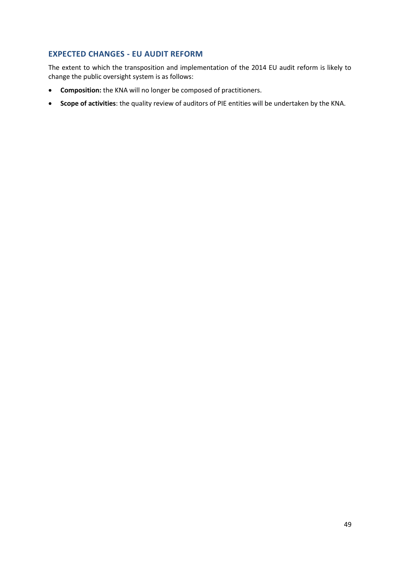# **EXPECTED CHANGES - EU AUDIT REFORM**

The extent to which the transposition and implementation of the 2014 EU audit reform is likely to change the public oversight system is as follows:

- **Composition:** the KNA will no longer be composed of practitioners.
- **Scope of activities**: the quality review of auditors of PIE entities will be undertaken by the KNA.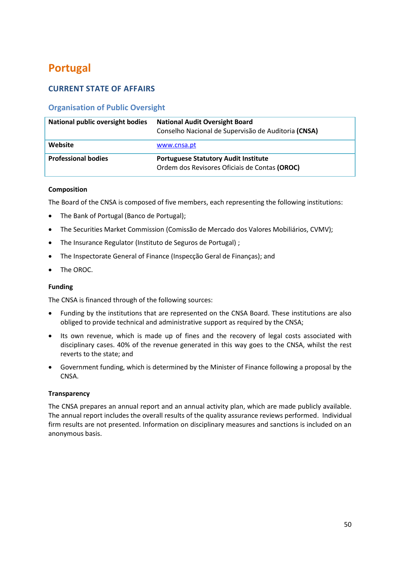# **Portugal**

# **CURRENT STATE OF AFFAIRS**

# **Organisation of Public Oversight**

| National public oversight bodies | <b>National Audit Oversight Board</b><br>Conselho Nacional de Supervisão de Auditoria (CNSA) |
|----------------------------------|----------------------------------------------------------------------------------------------|
| Website                          | www.cnsa.pt                                                                                  |
| <b>Professional bodies</b>       | <b>Portuguese Statutory Audit Institute</b><br>Ordem dos Revisores Oficiais de Contas (OROC) |

## **Composition**

The Board of the CNSA is composed of five members, each representing the following institutions:

- The Bank of Portugal (Banco de Portugal);
- The Securities Market Commission (Comissão de Mercado dos Valores Mobiliários, CVMV);
- The Insurance Regulator (Instituto de Seguros de Portugal) ;
- The Inspectorate General of Finance (Inspecção Geral de Finanças); and
- The OROC.

## **Funding**

The CNSA is financed through of the following sources:

- Funding by the institutions that are represented on the CNSA Board. These institutions are also obliged to provide technical and administrative support as required by the CNSA;
- Its own revenue, which is made up of fines and the recovery of legal costs associated with disciplinary cases. 40% of the revenue generated in this way goes to the CNSA, whilst the rest reverts to the state; and
- Government funding, which is determined by the Minister of Finance following a proposal by the CNSA.

## **Transparency**

The CNSA prepares an annual report and an annual activity plan, which are made publicly available. The annual report includes the overall results of the quality assurance reviews performed. Individual firm results are not presented. Information on disciplinary measures and sanctions is included on an anonymous basis.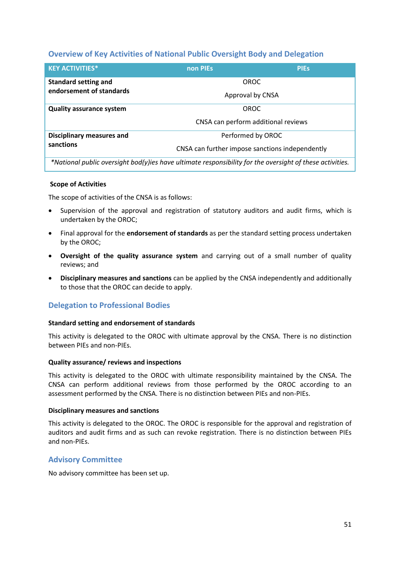# **Overview of Key Activities of National Public Oversight Body and Delegation**

| <b>KEY ACTIVITIES*</b>           | non PIEs | <b>PIES</b>                                     |
|----------------------------------|----------|-------------------------------------------------|
| <b>Standard setting and</b>      |          | <b>OROC</b>                                     |
| endorsement of standards         |          | Approval by CNSA                                |
| <b>Quality assurance system</b>  |          | OROC                                            |
|                                  |          | CNSA can perform additional reviews             |
| <b>Disciplinary measures and</b> |          | Performed by OROC                               |
| sanctions                        |          | CNSA can further impose sanctions independently |

*\*National public oversight bod(y)ies have ultimate responsibility for the oversight of these activities.*

#### **Scope of Activities**

The scope of activities of the CNSA is as follows:

- Supervision of the approval and registration of statutory auditors and audit firms, which is undertaken by the OROC;
- Final approval for the **endorsement of standards** as per the standard setting process undertaken by the OROC;
- **Oversight of the quality assurance system** and carrying out of a small number of quality reviews; and
- **Disciplinary measures and sanctions** can be applied by the CNSA independently and additionally to those that the OROC can decide to apply.

# **Delegation to Professional Bodies**

#### **Standard setting and endorsement of standards**

This activity is delegated to the OROC with ultimate approval by the CNSA. There is no distinction between PIEs and non-PIEs.

#### **Quality assurance/ reviews and inspections**

This activity is delegated to the OROC with ultimate responsibility maintained by the CNSA. The CNSA can perform additional reviews from those performed by the OROC according to an assessment performed by the CNSA. There is no distinction between PIEs and non-PIEs.

#### **Disciplinary measures and sanctions**

This activity is delegated to the OROC. The OROC is responsible for the approval and registration of auditors and audit firms and as such can revoke registration. There is no distinction between PIEs and non-PIEs.

## **Advisory Committee**

No advisory committee has been set up.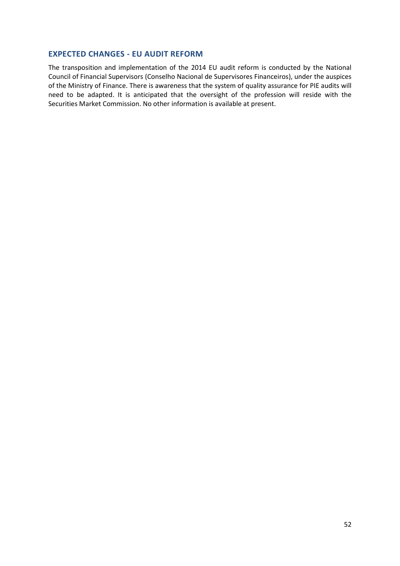## **EXPECTED CHANGES - EU AUDIT REFORM**

The transposition and implementation of the 2014 EU audit reform is conducted by the National Council of Financial Supervisors (Conselho Nacional de Supervisores Financeiros), under the auspices of the Ministry of Finance. There is awareness that the system of quality assurance for PIE audits will need to be adapted. It is anticipated that the oversight of the profession will reside with the Securities Market Commission. No other information is available at present.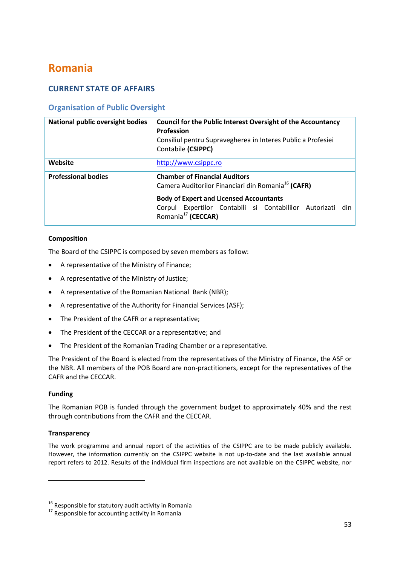# **Romania**

# **CURRENT STATE OF AFFAIRS**

# **Organisation of Public Oversight**

| National public oversight bodies | <b>Council for the Public Interest Oversight of the Accountancy</b><br><b>Profession</b><br>Consiliul pentru Supravegherea in Interes Public a Profesiei<br>Contabile (CSIPPC) |
|----------------------------------|--------------------------------------------------------------------------------------------------------------------------------------------------------------------------------|
| Website                          | http://www.csippc.ro                                                                                                                                                           |
| <b>Professional bodies</b>       | <b>Chamber of Financial Auditors</b><br>Camera Auditorilor Financiari din Romania <sup>16</sup> (CAFR)                                                                         |
|                                  | <b>Body of Expert and Licensed Accountants</b><br>Corpul Expertilor Contabili si Contabililor Autorizati<br>din I<br>Romania <sup>17</sup> (CECCAR)                            |

## **Composition**

The Board of the CSIPPC is composed by seven members as follow:

- A representative of the Ministry of Finance;
- A representative of the Ministry of Justice;
- A representative of the Romanian National Bank (NBR);
- A representative of the Authority for Financial Services (ASF);
- The President of the CAFR or a representative;
- The President of the CECCAR or a representative; and
- The President of the Romanian Trading Chamber or a representative.

The President of the Board is elected from the representatives of the Ministry of Finance, the ASF or the NBR. All members of the POB Board are non-practitioners, except for the representatives of the CAFR and the CECCAR.

## **Funding**

 $\overline{\phantom{a}}$ 

The Romanian POB is funded through the government budget to approximately 40% and the rest through contributions from the CAFR and the CECCAR.

## **Transparency**

The work programme and annual report of the activities of the CSIPPC are to be made publicly available. However, the information currently on the CSIPPC website is not up-to-date and the last available annual report refers to 2012. Results of the individual firm inspections are not available on the CSIPPC website, nor

<sup>&</sup>lt;sup>16</sup> Responsible for statutory audit activity in Romania

 $17$  Responsible for accounting activity in Romania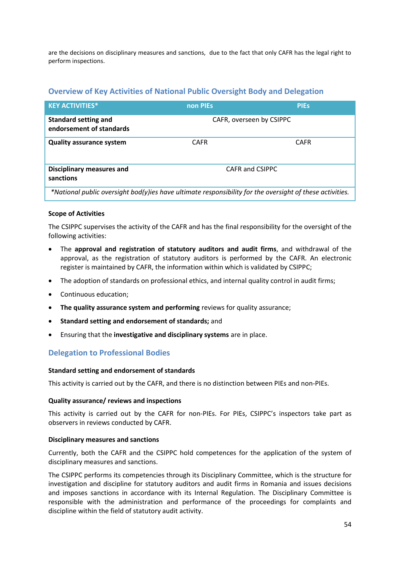are the decisions on disciplinary measures and sanctions, due to the fact that only CAFR has the legal right to perform inspections.

# **Overview of Key Activities of National Public Oversight Body and Delegation**

| <b>KEY ACTIVITIES*</b>                                                                                   | non PIEs    | <b>PIEs</b>              |
|----------------------------------------------------------------------------------------------------------|-------------|--------------------------|
| <b>Standard setting and</b><br>endorsement of standards                                                  |             | CAFR, overseen by CSIPPC |
| <b>Quality assurance system</b>                                                                          | <b>CAFR</b> | <b>CAFR</b>              |
| <b>Disciplinary measures and</b><br>sanctions                                                            |             | CAFR and CSIPPC          |
| *National public oversight bod(y)ies have ultimate responsibility for the oversight of these activities. |             |                          |

## **Scope of Activities**

The CSIPPC supervises the activity of the CAFR and has the final responsibility for the oversight of the following activities:

- The **approval and registration of statutory auditors and audit firms**, and withdrawal of the approval, as the registration of statutory auditors is performed by the CAFR. An electronic register is maintained by CAFR, the information within which is validated by CSIPPC;
- The adoption of standards on professional ethics, and internal quality control in audit firms;
- Continuous education;
- **•** The quality assurance system and performing reviews for quality assurance:
- **Standard setting and endorsement of standards;** and
- Ensuring that the **investigative and disciplinary systems** are in place.

# **Delegation to Professional Bodies**

#### **Standard setting and endorsement of standards**

This activity is carried out by the CAFR, and there is no distinction between PIEs and non-PIEs.

#### **Quality assurance/ reviews and inspections**

This activity is carried out by the CAFR for non-PIEs. For PIEs, CSIPPC's inspectors take part as observers in reviews conducted by CAFR.

#### **Disciplinary measures and sanctions**

Currently, both the CAFR and the CSIPPC hold competences for the application of the system of disciplinary measures and sanctions.

The CSIPPC performs its competencies through its Disciplinary Committee, which is the structure for investigation and discipline for statutory auditors and audit firms in Romania and issues decisions and imposes sanctions in accordance with its Internal Regulation. The Disciplinary Committee is responsible with the administration and performance of the proceedings for complaints and discipline within the field of statutory audit activity.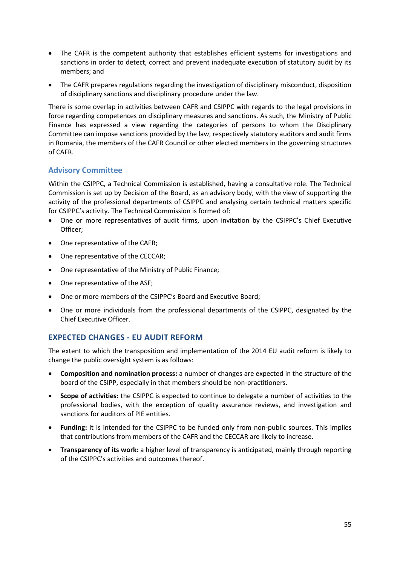- The CAFR is the competent authority that establishes efficient systems for investigations and sanctions in order to detect, correct and prevent inadequate execution of statutory audit by its members; and
- The CAFR prepares regulations regarding the investigation of disciplinary misconduct, disposition of disciplinary sanctions and disciplinary procedure under the law.

There is some overlap in activities between CAFR and CSIPPC with regards to the legal provisions in force regarding competences on disciplinary measures and sanctions. As such, the Ministry of Public Finance has expressed a view regarding the categories of persons to whom the Disciplinary Committee can impose sanctions provided by the law, respectively statutory auditors and audit firms in Romania, the members of the CAFR Council or other elected members in the governing structures of CAFR.

# **Advisory Committee**

Within the CSIPPC, a Technical Commission is established, having a consultative role. The Technical Commission is set up by Decision of the Board, as an advisory body, with the view of supporting the activity of the professional departments of CSIPPC and analysing certain technical matters specific for CSIPPC's activity. The Technical Commission is formed of:

- One or more representatives of audit firms, upon invitation by the CSIPPC's Chief Executive Officer;
- One representative of the CAFR;
- One representative of the CECCAR:
- One representative of the Ministry of Public Finance;
- One representative of the ASF;
- One or more members of the CSIPPC's Board and Executive Board;
- One or more individuals from the professional departments of the CSIPPC, designated by the Chief Executive Officer.

# **EXPECTED CHANGES - EU AUDIT REFORM**

The extent to which the transposition and implementation of the 2014 EU audit reform is likely to change the public oversight system is as follows:

- **Composition and nomination process:** a number of changes are expected in the structure of the board of the CSIPP, especially in that members should be non-practitioners.
- **Scope of activities:** the CSIPPC is expected to continue to delegate a number of activities to the professional bodies, with the exception of quality assurance reviews, and investigation and sanctions for auditors of PIE entities.
- **Funding:** it is intended for the CSIPPC to be funded only from non-public sources. This implies that contributions from members of the CAFR and the CECCAR are likely to increase.
- **Transparency of its work:** a higher level of transparency is anticipated, mainly through reporting of the CSIPPC's activities and outcomes thereof.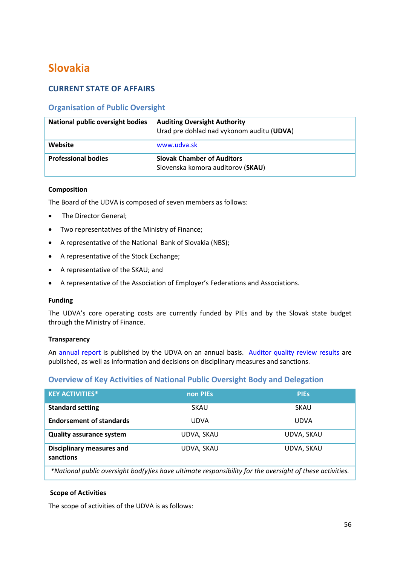# **Slovakia**

# **CURRENT STATE OF AFFAIRS**

# **Organisation of Public Oversight**

| <b>National public oversight bodies</b> | <b>Auditing Oversight Authority</b><br>Urad pre dohlad nad vykonom auditu (UDVA) |
|-----------------------------------------|----------------------------------------------------------------------------------|
| Website                                 | www.udva.sk                                                                      |
| <b>Professional bodies</b>              | <b>Slovak Chamber of Auditors</b><br>Slovenska komora auditorov (SKAU)           |

### **Composition**

The Board of the UDVA is composed of seven members as follows:

- The Director General;
- Two representatives of the Ministry of Finance;
- A representative of the National Bank of Slovakia (NBS);
- A representative of the Stock Exchange;
- A representative of the SKAU; and
- A representative of the Association of Employer's Federations and Associations.

#### **Funding**

The UDVA's core operating costs are currently funded by PIEs and by the Slovak state budget through the Ministry of Finance.

#### **Transparency**

An [annual report](http://www.udva.sk/index.php?option=com_content&view=article&id=197&Itemid=19) is published by the UDVA on an annual basis. Auditor [quality review results](http://www.udva.sk/index.php?option=com_content&view=article&id=31&Itemid=40) are published, as well as information and decisions on disciplinary measures and sanctions.

## **Overview of Key Activities of National Public Oversight Body and Delegation**

| <b>KEY ACTIVITIES*</b>                                                                                   | non PIEs    | <b>PIES</b> |
|----------------------------------------------------------------------------------------------------------|-------------|-------------|
| <b>Standard setting</b>                                                                                  | <b>SKAU</b> | <b>SKAU</b> |
| <b>Endorsement of standards</b>                                                                          | <b>UDVA</b> | <b>UDVA</b> |
| <b>Quality assurance system</b>                                                                          | UDVA, SKAU  | UDVA, SKAU  |
| <b>Disciplinary measures and</b><br>sanctions                                                            | UDVA, SKAU  | UDVA, SKAU  |
| *National public oversight bod(y)ies have ultimate responsibility for the oversight of these activities. |             |             |

#### **Scope of Activities**

The scope of activities of the UDVA is as follows: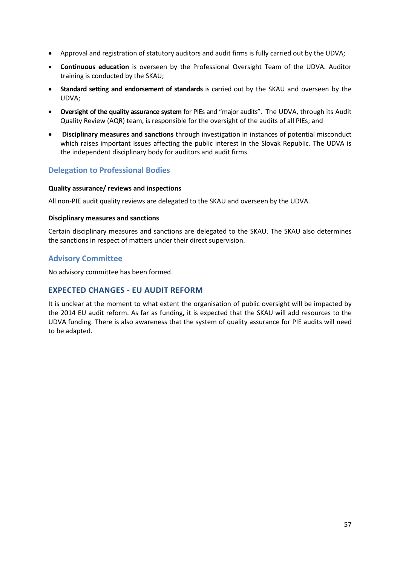- Approval and registration of statutory auditors and audit firms is fully carried out by the UDVA;
- **Continuous education** is overseen by the Professional Oversight Team of the UDVA. Auditor training is conducted by the SKAU;
- **Standard setting and endorsement of standards** is carried out by the SKAU and overseen by the UDVA;
- **Oversight of the quality assurance system** for PIEs and "major audits".The UDVA, through its Audit Quality Review (AQR) team, is responsible for the oversight of the audits of all PIEs; and
- **Disciplinary measures and sanctions** through investigation in instances of potential misconduct which raises important issues affecting the public interest in the Slovak Republic. The UDVA is the independent disciplinary body for auditors and audit firms.

# **Delegation to Professional Bodies**

## **Quality assurance/ reviews and inspections**

All non-PIE audit quality reviews are delegated to the SKAU and overseen by the UDVA.

#### **Disciplinary measures and sanctions**

Certain disciplinary measures and sanctions are delegated to the SKAU. The SKAU also determines the sanctions in respect of matters under their direct supervision.

## **Advisory Committee**

No advisory committee has been formed.

# **EXPECTED CHANGES - EU AUDIT REFORM**

It is unclear at the moment to what extent the organisation of public oversight will be impacted by the 2014 EU audit reform. As far as funding**,** it is expected that the SKAU will add resources to the UDVA funding. There is also awareness that the system of quality assurance for PIE audits will need to be adapted.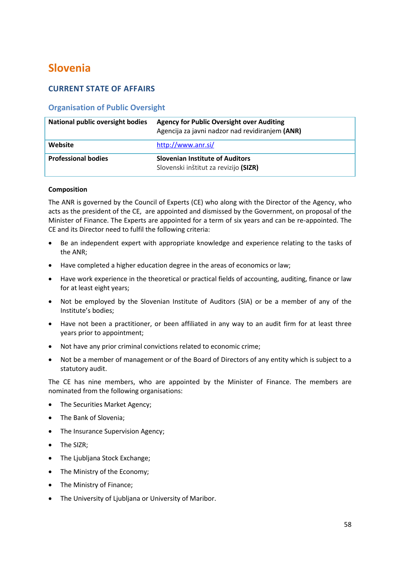# **Slovenia**

# **CURRENT STATE OF AFFAIRS**

# **Organisation of Public Oversight**

| <b>National public oversight bodies</b> | <b>Agency for Public Oversight over Auditing</b><br>Agencija za javni nadzor nad revidiranjem (ANR) |
|-----------------------------------------|-----------------------------------------------------------------------------------------------------|
| Website                                 | http://www.anr.si/                                                                                  |
| <b>Professional bodies</b>              | <b>Slovenian Institute of Auditors</b><br>Slovenski inštitut za revizijo (SIZR)                     |

#### **Composition**

The ANR is governed by the Council of Experts (CE) who along with the Director of the Agency, who acts as the president of the CE, are appointed and dismissed by the Government, on proposal of the Minister of Finance. The Experts are appointed for a term of six years and can be re-appointed. The CE and its Director need to fulfil the following criteria:

- Be an independent expert with appropriate knowledge and experience relating to the tasks of the ANR;
- Have completed a higher education degree in the areas of economics or law;
- Have work experience in the theoretical or practical fields of accounting, auditing, finance or law for at least eight years;
- Not be employed by the Slovenian Institute of Auditors (SIA) or be a member of any of the Institute's bodies;
- Have not been a practitioner, or been affiliated in any way to an audit firm for at least three years prior to appointment;
- Not have any prior criminal convictions related to economic crime;
- Not be a member of management or of the Board of Directors of any entity which is subject to a statutory audit.

The CE has nine members, who are appointed by the Minister of Finance. The members are nominated from the following organisations:

- The Securities Market Agency;
- The Bank of Slovenia;
- The Insurance Supervision Agency;
- The SIZR;
- The Ljubljana Stock Exchange;
- The Ministry of the Economy;
- The Ministry of Finance;
- The University of Ljubljana or University of Maribor.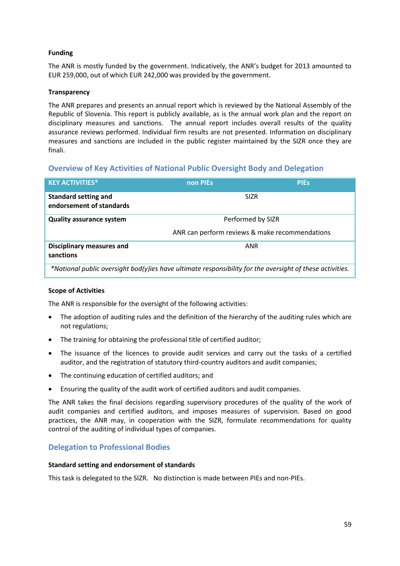## **Funding**

The ANR is mostly funded by the government. Indicatively, the ANR's budget for 2013 amounted to EUR 259,000, out of which EUR 242,000 was provided by the government.

## **Transparency**

The ANR prepares and presents an annual report which is reviewed by the National Assembly of the Republic of Slovenia. This report is publicly available, as is the annual work plan and the report on disciplinary measures and sanctions. The annual report includes overall results of the quality assurance reviews performed. Individual firm results are not presented. Information on disciplinary measures and sanctions are included in the public register maintained by the SIZR once they are finali.

# **Overview of Key Activities of National Public Oversight Body and Delegation**

| <b>KEY ACTIVITIES*</b>                                                                                   | non PIEs                                       | <b>PIES</b> |
|----------------------------------------------------------------------------------------------------------|------------------------------------------------|-------------|
| <b>Standard setting and</b><br>endorsement of standards                                                  | <b>SIZR</b>                                    |             |
| <b>Quality assurance system</b>                                                                          | Performed by SIZR                              |             |
|                                                                                                          | ANR can perform reviews & make recommendations |             |
| <b>Disciplinary measures and</b><br>sanctions                                                            | ANR                                            |             |
| *National public oversight bod(y)ies have ultimate responsibility for the oversight of these activities. |                                                |             |

#### **Scope of Activities**

The ANR is responsible for the oversight of the following activities:

- The adoption of auditing rules and the definition of the hierarchy of the auditing rules which are not regulations;
- The training for obtaining the professional title of certified auditor;
- The issuance of the licences to provide audit services and carry out the tasks of a certified auditor, and the registration of statutory third-country auditors and audit companies;
- The continuing education of certified auditors; and
- Ensuring the quality of the audit work of certified auditors and audit companies.

The ANR takes the final decisions regarding supervisory procedures of the quality of the work of audit companies and certified auditors, and imposes measures of supervision. Based on good practices, the ANR may, in cooperation with the SIZR, formulate recommendations for quality control of the auditing of individual types of companies.

# **Delegation to Professional Bodies**

#### **Standard setting and endorsement of standards**

This task is delegated to the SIZR. No distinction is made between PIEs and non-PIEs.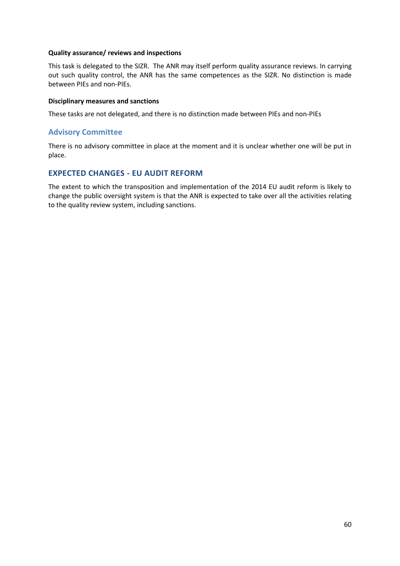#### **Quality assurance/ reviews and inspections**

This task is delegated to the SIZR. The ANR may itself perform quality assurance reviews. In carrying out such quality control, the ANR has the same competences as the SIZR. No distinction is made between PIEs and non-PIEs.

#### **Disciplinary measures and sanctions**

These tasks are not delegated, and there is no distinction made between PIEs and non-PIEs

## **Advisory Committee**

There is no advisory committee in place at the moment and it is unclear whether one will be put in place.

# **EXPECTED CHANGES - EU AUDIT REFORM**

The extent to which the transposition and implementation of the 2014 EU audit reform is likely to change the public oversight system is that the ANR is expected to take over all the activities relating to the quality review system, including sanctions.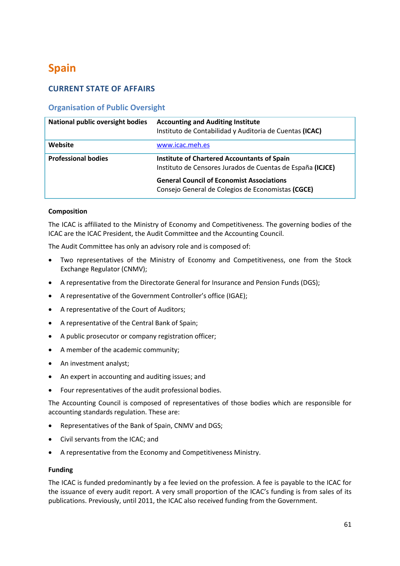# **Spain**

# **CURRENT STATE OF AFFAIRS**

# **Organisation of Public Oversight**

| <b>National public oversight bodies</b> | <b>Accounting and Auditing Institute</b><br>Instituto de Contabilidad y Auditoria de Cuentas (ICAC)              |
|-----------------------------------------|------------------------------------------------------------------------------------------------------------------|
| Website                                 | www.icac.meh.es                                                                                                  |
| <b>Professional bodies</b>              | <b>Institute of Chartered Accountants of Spain</b><br>Instituto de Censores Jurados de Cuentas de España (ICJCE) |
|                                         | <b>General Council of Economist Associations</b><br>Consejo General de Colegios de Economistas (CGCE)            |

## **Composition**

The ICAC is affiliated to the Ministry of Economy and Competitiveness. The governing bodies of the ICAC are the ICAC President, the Audit Committee and the Accounting Council.

The Audit Committee has only an advisory role and is composed of:

- Two representatives of the Ministry of Economy and Competitiveness, one from the Stock Exchange Regulator (CNMV);
- A representative from the Directorate General for Insurance and Pension Funds (DGS);
- A representative of the Government Controller's office (IGAE);
- A representative of the Court of Auditors;
- A representative of the Central Bank of Spain;
- A public prosecutor or company registration officer;
- A member of the academic community;
- An investment analyst;
- An expert in accounting and auditing issues; and
- Four representatives of the audit professional bodies.

The Accounting Council is composed of representatives of those bodies which are responsible for accounting standards regulation. These are:

- Representatives of the Bank of Spain, CNMV and DGS;
- Civil servants from the ICAC; and
- A representative from the Economy and Competitiveness Ministry.

#### **Funding**

The ICAC is funded predominantly by a fee levied on the profession. A fee is payable to the ICAC for the issuance of every audit report. A very small proportion of the ICAC's funding is from sales of its publications. Previously, until 2011, the ICAC also received funding from the Government.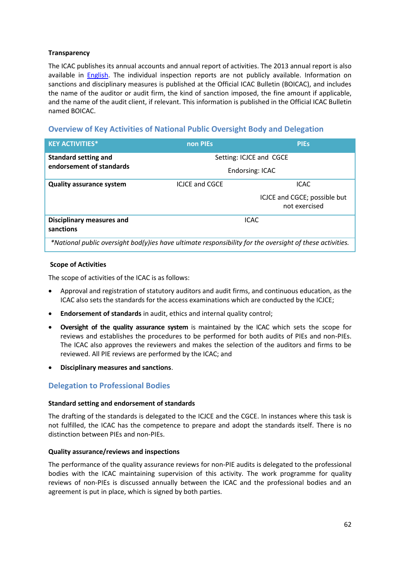## **Transparency**

The ICAC publishes its annual accounts and annual report of activities. The 2013 annual report is also available in **English**. The individual inspection reports are not publicly available. Information on sanctions and disciplinary measures is published at the Official ICAC Bulletin (BOICAC), and includes the name of the auditor or audit firm, the kind of sanction imposed, the fine amount if applicable, and the name of the audit client, if relevant. This information is published in the Official ICAC Bulletin named BOICAC.

## **Overview of Key Activities of National Public Oversight Body and Delegation**

| <b>KEY ACTIVITIES*</b>                                                                                   | non PIEs                | <b>PIES</b>                  |
|----------------------------------------------------------------------------------------------------------|-------------------------|------------------------------|
| <b>Standard setting and</b>                                                                              | Setting: ICJCE and CGCE |                              |
| endorsement of standards                                                                                 | Endorsing: ICAC         |                              |
| <b>Quality assurance system</b>                                                                          | <b>ICICE and CGCE</b>   | <b>ICAC</b>                  |
|                                                                                                          |                         | ICJCE and CGCE; possible but |
|                                                                                                          |                         | not exercised                |
| <b>Disciplinary measures and</b>                                                                         |                         | <b>ICAC</b>                  |
| sanctions                                                                                                |                         |                              |
| *National public oversight bod(y)ies have ultimate responsibility for the oversight of these activities. |                         |                              |

## **Scope of Activities**

The scope of activities of the ICAC is as follows:

- Approval and registration of statutory auditors and audit firms, and continuous education, as the ICAC also sets the standards for the access examinations which are conducted by the ICJCE;
- **Endorsement of standards** in audit, ethics and internal quality control;
- **Oversight of the quality assurance system** is maintained by the ICAC which sets the scope for reviews and establishes the procedures to be performed for both audits of PIEs and non-PIEs. The ICAC also approves the reviewers and makes the selection of the auditors and firms to be reviewed. All PIE reviews are performed by the ICAC; and
- **Disciplinary measures and sanctions**.

# **Delegation to Professional Bodies**

#### **Standard setting and endorsement of standards**

The drafting of the standards is delegated to the ICJCE and the CGCE. In instances where this task is not fulfilled, the ICAC has the competence to prepare and adopt the standards itself. There is no distinction between PIEs and non-PIEs.

#### **Quality assurance/reviews and inspections**

The performance of the quality assurance reviews for non-PIE audits is delegated to the professional bodies with the ICAC maintaining supervision of this activity. The work programme for quality reviews of non-PIEs is discussed annually between the ICAC and the professional bodies and an agreement is put in place, which is signed by both parties.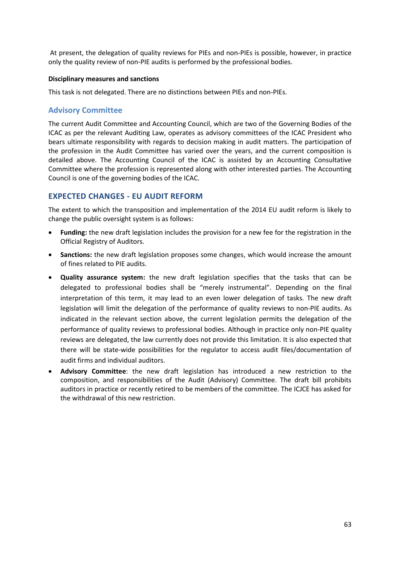At present, the delegation of quality reviews for PIEs and non-PIEs is possible, however, in practice only the quality review of non-PIE audits is performed by the professional bodies.

#### **Disciplinary measures and sanctions**

This task is not delegated. There are no distinctions between PIEs and non-PIEs.

## **Advisory Committee**

The current Audit Committee and Accounting Council, which are two of the Governing Bodies of the ICAC as per the relevant Auditing Law, operates as advisory committees of the ICAC President who bears ultimate responsibility with regards to decision making in audit matters. The participation of the profession in the Audit Committee has varied over the years, and the current composition is detailed above. The Accounting Council of the ICAC is assisted by an Accounting Consultative Committee where the profession is represented along with other interested parties. The Accounting Council is one of the governing bodies of the ICAC.

## **EXPECTED CHANGES - EU AUDIT REFORM**

The extent to which the transposition and implementation of the 2014 EU audit reform is likely to change the public oversight system is as follows:

- **Funding:** the new draft legislation includes the provision for a new fee for the registration in the Official Registry of Auditors.
- **Sanctions:** the new draft legislation proposes some changes, which would increase the amount of fines related to PIE audits.
- **Quality assurance system:** the new draft legislation specifies that the tasks that can be delegated to professional bodies shall be "merely instrumental". Depending on the final interpretation of this term, it may lead to an even lower delegation of tasks. The new draft legislation will limit the delegation of the performance of quality reviews to non-PIE audits. As indicated in the relevant section above, the current legislation permits the delegation of the performance of quality reviews to professional bodies. Although in practice only non-PIE quality reviews are delegated, the law currently does not provide this limitation. It is also expected that there will be state-wide possibilities for the regulator to access audit files/documentation of audit firms and individual auditors.
- **Advisory Committee**: the new draft legislation has introduced a new restriction to the composition, and responsibilities of the Audit (Advisory) Committee. The draft bill prohibits auditors in practice or recently retired to be members of the committee. The ICJCE has asked for the withdrawal of this new restriction.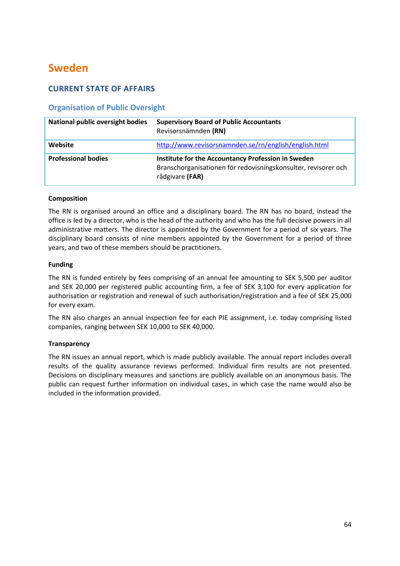# **Sweden**

# **CURRENT STATE OF AFFAIRS**

# **Organisation of Public Oversight**

| <b>National public oversight bodies</b> | <b>Supervisory Board of Public Accountants</b><br>Revisorsnämnden (RN)                                                                  |
|-----------------------------------------|-----------------------------------------------------------------------------------------------------------------------------------------|
| Website                                 | http://www.revisorsnamnden.se/rn/english/english.html                                                                                   |
| <b>Professional bodies</b>              | Institute for the Accountancy Profession in Sweden<br>Branschorganisationen för redovisningskonsulter, revisorer och<br>rådgivare (FAR) |

## **Composition**

The RN is organised around an office and a disciplinary board. The RN has no board, instead the office is led by a director, who is the head of the authority and who has the full decisive powers in all administrative matters. The director is appointed by the Government for a period of six years. The disciplinary board consists of nine members appointed by the Government for a period of three years, and two of these members should be practitioners.

## **Funding**

The RN is funded entirely by fees comprising of an annual fee amounting to SEK 5,500 per auditor and SEK 20,000 per registered public accounting firm, a fee of SEK 3,100 for every application for authorisation or registration and renewal of such authorisation/registration and a fee of SEK 25,000 for every exam.

The RN also charges an annual inspection fee for each PIE assignment, i.e. today comprising listed companies, ranging between SEK 10,000 to SEK 40,000.

## **Transparency**

The RN issues an annual report, which is made publicly available. The annual report includes overall results of the quality assurance reviews performed. Individual firm results are not presented. Decisions on disciplinary measures and sanctions are publicly available on an anonymous basis. The public can request further information on individual cases, in which case the name would also be included in the information provided.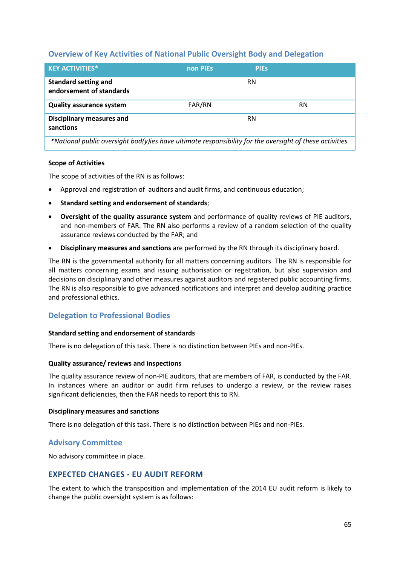## **Overview of Key Activities of National Public Oversight Body and Delegation**

| <b>KEY ACTIVITIES*</b>                                                                                   | non PIEs | <b>PIES</b> |    |
|----------------------------------------------------------------------------------------------------------|----------|-------------|----|
| <b>Standard setting and</b><br>endorsement of standards                                                  |          | RN          |    |
| <b>Quality assurance system</b>                                                                          | FAR/RN   |             | RN |
| <b>Disciplinary measures and</b><br>sanctions                                                            |          | <b>RN</b>   |    |
| *National public oversight bod(y)ies have ultimate responsibility for the oversight of these activities. |          |             |    |

#### **Scope of Activities**

The scope of activities of the RN is as follows:

- Approval and registration of auditors and audit firms, and continuous education;
- **Standard setting and endorsement of standards**;
- **Oversight of the quality assurance system** and performance of quality reviews of PIE auditors, and non-members of FAR. The RN also performs a review of a random selection of the quality assurance reviews conducted by the FAR; and
- **Disciplinary measures and sanctions** are performed by the RN through its disciplinary board.

The RN is the governmental authority for all matters concerning auditors. The RN is responsible for all matters concerning exams and issuing authorisation or registration, but also supervision and decisions on disciplinary and other measures against auditors and registered public accounting firms. The RN is also responsible to give advanced notifications and interpret and develop auditing practice and professional ethics.

# **Delegation to Professional Bodies**

#### **Standard setting and endorsement of standards**

There is no delegation of this task. There is no distinction between PIEs and non-PIEs.

#### **Quality assurance/ reviews and inspections**

The quality assurance review of non-PIE auditors, that are members of FAR, is conducted by the FAR. In instances where an auditor or audit firm refuses to undergo a review, or the review raises significant deficiencies, then the FAR needs to report this to RN.

#### **Disciplinary measures and sanctions**

There is no delegation of this task. There is no distinction between PIEs and non-PIEs.

# **Advisory Committee**

No advisory committee in place.

# **EXPECTED CHANGES - EU AUDIT REFORM**

The extent to which the transposition and implementation of the 2014 EU audit reform is likely to change the public oversight system is as follows: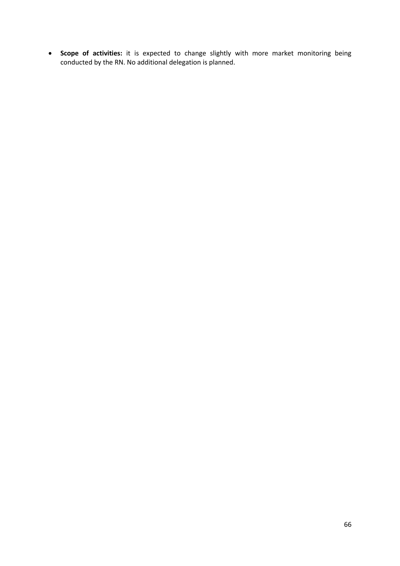**Scope of activities:** it is expected to change slightly with more market monitoring being conducted by the RN. No additional delegation is planned.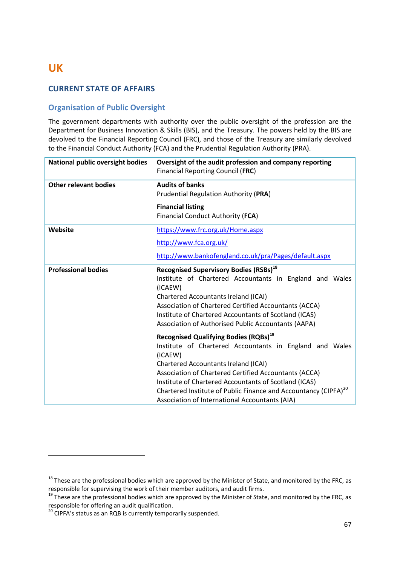# **UK**

**.** 

# **CURRENT STATE OF AFFAIRS**

# **Organisation of Public Oversight**

The government departments with authority over the public oversight of the profession are the Department for Business Innovation & Skills (BIS), and the Treasury. The powers held by the BIS are devolved to the Financial Reporting Council (FRC), and those of the Treasury are similarly devolved to the Financial Conduct Authority (FCA) and the Prudential Regulation Authority (PRA).

| <b>National public oversight bodies</b> | Oversight of the audit profession and company reporting<br>Financial Reporting Council (FRC)                                                                                                                                                                                                                                                                                                                                     |  |
|-----------------------------------------|----------------------------------------------------------------------------------------------------------------------------------------------------------------------------------------------------------------------------------------------------------------------------------------------------------------------------------------------------------------------------------------------------------------------------------|--|
| Other relevant bodies                   | <b>Audits of banks</b><br>Prudential Regulation Authority (PRA)                                                                                                                                                                                                                                                                                                                                                                  |  |
|                                         | <b>Financial listing</b>                                                                                                                                                                                                                                                                                                                                                                                                         |  |
|                                         | Financial Conduct Authority (FCA)                                                                                                                                                                                                                                                                                                                                                                                                |  |
| Website                                 | https://www.frc.org.uk/Home.aspx                                                                                                                                                                                                                                                                                                                                                                                                 |  |
|                                         | http://www.fca.org.uk/                                                                                                                                                                                                                                                                                                                                                                                                           |  |
|                                         | http://www.bankofengland.co.uk/pra/Pages/default.aspx                                                                                                                                                                                                                                                                                                                                                                            |  |
| <b>Professional bodies</b>              | <b>Recognised Supervisory Bodies (RSBs)</b> <sup>18</sup><br>Institute of Chartered Accountants in England and Wales<br>(ICAEW)<br><b>Chartered Accountants Ireland (ICAI)</b><br>Association of Chartered Certified Accountants (ACCA)<br>Institute of Chartered Accountants of Scotland (ICAS)<br>Association of Authorised Public Accountants (AAPA)                                                                          |  |
|                                         | <b>Recognised Qualifying Bodies (RQBs)</b> <sup>19</sup><br>Institute of Chartered Accountants in England and Wales<br>(ICAEW)<br><b>Chartered Accountants Ireland (ICAI)</b><br>Association of Chartered Certified Accountants (ACCA)<br>Institute of Chartered Accountants of Scotland (ICAS)<br>Chartered Institute of Public Finance and Accountancy (CIPFA) <sup>20</sup><br>Association of International Accountants (AIA) |  |

<sup>&</sup>lt;sup>18</sup> These are the professional bodies which are approved by the Minister of State, and monitored by the FRC, as responsible for supervising the work of their member auditors, and audit firms.

<sup>&</sup>lt;sup>19</sup> These are the professional bodies which are approved by the Minister of State, and monitored by the FRC, as responsible for offering an audit qualification.

 $20$  CIPFA's status as an RQB is currently temporarily suspended.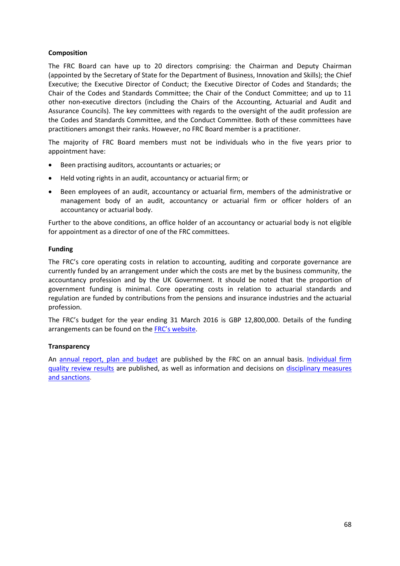## **Composition**

The FRC Board can have up to 20 directors comprising: the Chairman and Deputy Chairman (appointed by the Secretary of State for the Department of Business, Innovation and Skills); the Chief Executive; the Executive Director of Conduct; the Executive Director of Codes and Standards; the Chair of the Codes and Standards Committee; the Chair of the Conduct Committee; and up to 11 other non-executive directors (including the Chairs of the Accounting, Actuarial and Audit and Assurance Councils). The key committees with regards to the oversight of the audit profession are the Codes and Standards Committee, and the Conduct Committee. Both of these committees have practitioners amongst their ranks. However, no FRC Board member is a practitioner.

The majority of FRC Board members must not be individuals who in the five years prior to appointment have:

- Been practising auditors, accountants or actuaries; or
- Held voting rights in an audit, accountancy or actuarial firm; or
- Been employees of an audit, accountancy or actuarial firm, members of the administrative or management body of an audit, accountancy or actuarial firm or officer holders of an accountancy or actuarial body.

Further to the above conditions, an office holder of an accountancy or actuarial body is not eligible for appointment as a director of one of the FRC committees.

#### **Funding**

The FRC's core operating costs in relation to accounting, auditing and corporate governance are currently funded by an arrangement under which the costs are met by the business community, the accountancy profession and by the UK Government. It should be noted that the proportion of government funding is minimal. Core operating costs in relation to actuarial standards and regulation are funded by contributions from the pensions and insurance industries and the actuarial profession.

The FRC's budget for the year ending 31 March 2016 is GBP 12,800,000. Details of the funding arrangements can be found on the [FRC's website](https://www.frc.org.uk/About-the-FRC/Reports-Plans-and-Budgets/Funding.aspx).

#### **Transparency**

An [annual report, plan and budget](https://www.frc.org.uk/About-the-FRC/Reports-Plans-and-Budgets/Previous-annual-reports.aspx) are published by the FRC on an annual basis. [Individual firm](https://www.frc.org.uk/Our-Work/Conduct/Audit-Quality-Review/Audit-firm-specific-reports.aspx)  [quality review results](https://www.frc.org.uk/Our-Work/Conduct/Audit-Quality-Review/Audit-firm-specific-reports.aspx) are published, as well as information and decisions on disciplinary measures [and sanctions.](https://www.frc.org.uk/Our-Work/Conduct/Professional-discipline.asp)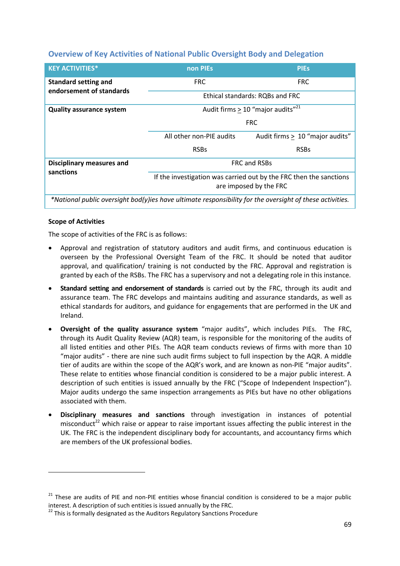# **Overview of Key Activities of National Public Oversight Body and Delegation**

| <b>KEY ACTIVITIES*</b>                                                                                   | non PIEs                                                                                     | <b>PIEs</b>                     |
|----------------------------------------------------------------------------------------------------------|----------------------------------------------------------------------------------------------|---------------------------------|
| <b>Standard setting and</b><br>endorsement of standards                                                  | <b>FRC</b>                                                                                   | <b>FRC</b>                      |
|                                                                                                          | Ethical standards: RQBs and FRC                                                              |                                 |
| <b>Quality assurance system</b>                                                                          | Audit firms $> 10$ "major audits" <sup>21</sup>                                              |                                 |
|                                                                                                          | <b>FRC</b>                                                                                   |                                 |
|                                                                                                          | All other non-PIE audits                                                                     | Audit firms > 10 "major audits" |
|                                                                                                          | <b>RSBs</b>                                                                                  | <b>RSBs</b>                     |
| <b>Disciplinary measures and</b>                                                                         | <b>FRC and RSBs</b>                                                                          |                                 |
| sanctions                                                                                                | If the investigation was carried out by the FRC then the sanctions<br>are imposed by the FRC |                                 |
| *National public oversight bod(y)ies have ultimate responsibility for the oversight of these activities. |                                                                                              |                                 |

#### **Scope of Activities**

**.** 

The scope of activities of the FRC is as follows:

- Approval and registration of statutory auditors and audit firms, and continuous education is overseen by the Professional Oversight Team of the FRC. It should be noted that auditor approval, and qualification/ training is not conducted by the FRC. Approval and registration is granted by each of the RSBs. The FRC has a supervisory and not a delegating role in this instance.
- **Standard setting and endorsement of standards** is carried out by the FRC, through its audit and assurance team. The FRC develops and maintains auditing and assurance standards, as well as ethical standards for auditors, and guidance for engagements that are performed in the UK and Ireland.
- **Oversight of the quality assurance system** "major audits", which includes PIEs. The FRC, through its Audit Quality Review (AQR) team, is responsible for the monitoring of the audits of all listed entities and other PIEs. The AQR team conducts reviews of firms with more than 10 "major audits" - there are nine such audit firms subject to full inspection by the AQR. A middle tier of audits are within the scope of the AQR's work, and are known as non-PIE "major audits". These relate to entities whose financial condition is considered to be a major public interest. A description of such entities is issued annually by the FRC ("Scope of Independent Inspection"). Major audits undergo the same inspection arrangements as PIEs but have no other obligations associated with them.
- **Disciplinary measures and sanctions** through investigation in instances of potential misconduct<sup>22</sup> which raise or appear to raise important issues affecting the public interest in the UK. The FRC is the independent disciplinary body for accountants, and accountancy firms which are members of the UK professional bodies.

 $21$  These are audits of PIE and non-PIE entities whose financial condition is considered to be a major public interest. A description of such entities is issued annually by the FRC.

 $22$  This is formally designated as the Auditors Regulatory Sanctions Procedure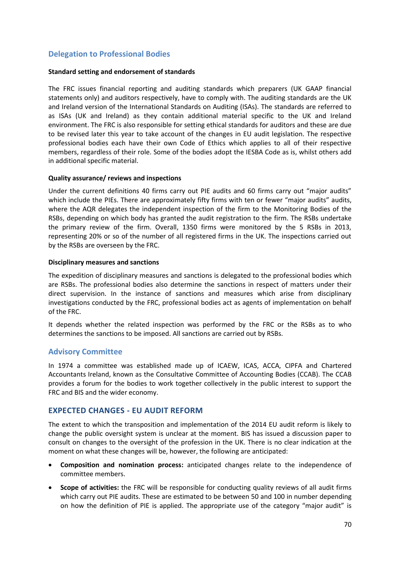# **Delegation to Professional Bodies**

#### **Standard setting and endorsement of standards**

The FRC issues financial reporting and auditing standards which preparers (UK GAAP financial statements only) and auditors respectively, have to comply with. The auditing standards are the UK and Ireland version of the International Standards on Auditing (ISAs). The standards are referred to as ISAs (UK and Ireland) as they contain additional material specific to the UK and Ireland environment. The FRC is also responsible for setting ethical standards for auditors and these are due to be revised later this year to take account of the changes in EU audit legislation. The respective professional bodies each have their own Code of Ethics which applies to all of their respective members, regardless of their role. Some of the bodies adopt the IESBA Code as is, whilst others add in additional specific material.

#### **Quality assurance/ reviews and inspections**

Under the current definitions 40 firms carry out PIE audits and 60 firms carry out "major audits" which include the PIEs. There are approximately fifty firms with ten or fewer "major audits" audits, where the AQR delegates the independent inspection of the firm to the Monitoring Bodies of the RSBs, depending on which body has granted the audit registration to the firm. The RSBs undertake the primary review of the firm. Overall, 1350 firms were monitored by the 5 RSBs in 2013, representing 20% or so of the number of all registered firms in the UK. The inspections carried out by the RSBs are overseen by the FRC.

#### **Disciplinary measures and sanctions**

The expedition of disciplinary measures and sanctions is delegated to the professional bodies which are RSBs. The professional bodies also determine the sanctions in respect of matters under their direct supervision. In the instance of sanctions and measures which arise from disciplinary investigations conducted by the FRC, professional bodies act as agents of implementation on behalf of the FRC.

It depends whether the related inspection was performed by the FRC or the RSBs as to who determines the sanctions to be imposed. All sanctions are carried out by RSBs.

## **Advisory Committee**

In 1974 a committee was established made up of ICAEW, ICAS, ACCA, CIPFA and Chartered Accountants Ireland, known as the Consultative Committee of Accounting Bodies (CCAB). The CCAB provides a forum for the bodies to work together collectively in the public interest to support the FRC and BIS and the wider economy.

## **EXPECTED CHANGES - EU AUDIT REFORM**

The extent to which the transposition and implementation of the 2014 EU audit reform is likely to change the public oversight system is unclear at the moment. BIS has issued a discussion paper to consult on changes to the oversight of the profession in the UK. There is no clear indication at the moment on what these changes will be, however, the following are anticipated:

- **Composition and nomination process:** anticipated changes relate to the independence of committee members.
- **Scope of activities:** the FRC will be responsible for conducting quality reviews of all audit firms which carry out PIE audits. These are estimated to be between 50 and 100 in number depending on how the definition of PIE is applied. The appropriate use of the category "major audit" is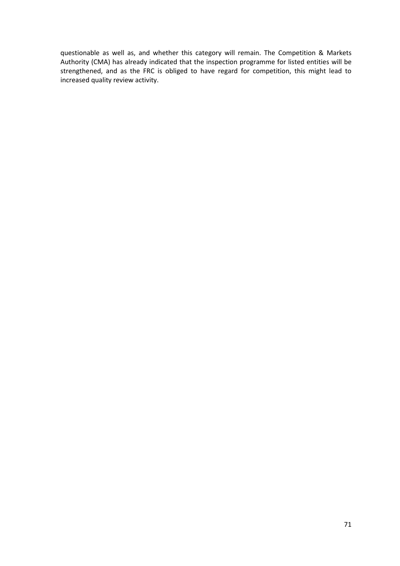questionable as well as, and whether this category will remain. The Competition & Markets Authority (CMA) has already indicated that the inspection programme for listed entities will be strengthened, and as the FRC is obliged to have regard for competition, this might lead to increased quality review activity.